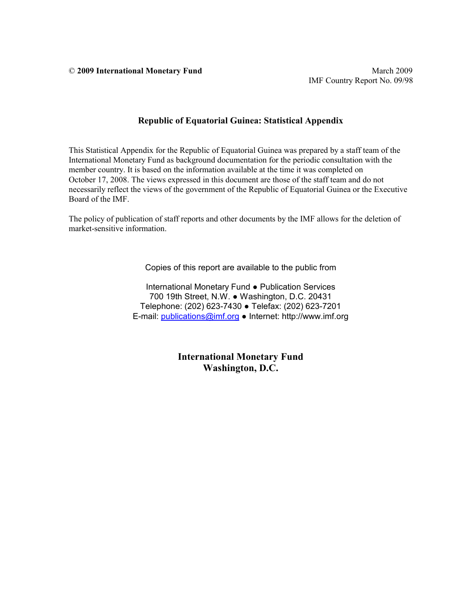© **2009 International Monetary Fund** March 2009

### **Republic of Equatorial Guinea: Statistical Appendix**

This Statistical Appendix for the Republic of Equatorial Guinea was prepared by a staff team of the International Monetary Fund as background documentation for the periodic consultation with the member country. It is based on the information available at the time it was completed on October 17, 2008. The views expressed in this document are those of the staff team and do not necessarily reflect the views of the government of the Republic of Equatorial Guinea or the Executive Board of the IMF.

The policy of publication of staff reports and other documents by the IMF allows for the deletion of market-sensitive information.

Copies of this report are available to the public from

International Monetary Fund ● Publication Services 700 19th Street, N.W. ● Washington, D.C. 20431 Telephone: (202) 623-7430 ● Telefax: (202) 623-7201 E-mail: publications@imf.org ● Internet: http://www.imf.org

> **International Monetary Fund Washington, D.C.**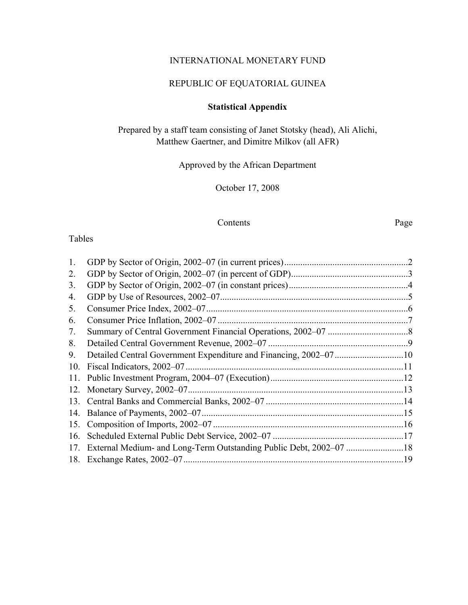# INTERNATIONAL MONETARY FUND

## REPUBLIC OF EQUATORIAL GUINEA

# **Statistical Appendix**

Prepared by a staff team consisting of Janet Stotsky (head), Ali Alichi, Matthew Gaertner, and Dimitre Milkov (all AFR)

Approved by the African Department

October 17, 2008

### Contents Page

### Tables

| 1.  |                           |  |
|-----|---------------------------|--|
| 2.  |                           |  |
| 3.  |                           |  |
| 4.  |                           |  |
| 5.  |                           |  |
| 6.  |                           |  |
| 7.  |                           |  |
| 8.  |                           |  |
| 9.  |                           |  |
| 10. |                           |  |
|     |                           |  |
| 12. | Monetary Survey, 2002–07. |  |
| 13. |                           |  |
| 14. |                           |  |
| 15. |                           |  |
| 16. |                           |  |
| 17. |                           |  |
|     |                           |  |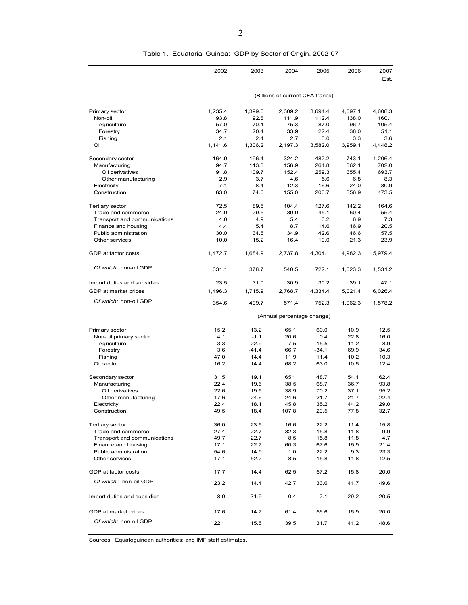| 2002<br>2003<br>2004<br>2005<br>2006<br>2007<br>Est.<br>(Billions of current CFA francs)<br>Primary sector<br>1,235.4<br>1,399.0<br>2,309.2<br>3,694.4<br>4,097.1<br>4,608.3<br>160.1<br>Non-oil<br>93.8<br>92.8<br>111.9<br>112.4<br>138.0<br>105.4<br>Agriculture<br>57.0<br>70.1<br>75.3<br>87.0<br>96.7<br>20.4<br>22.4<br>51.1<br>Forestry<br>34.7<br>33.9<br>38.0<br>2.1<br>2.4<br>Fishing<br>2.7<br>3.0<br>3.3<br>3.6<br>1,141.6<br>Oil<br>1,306.2<br>2,197.3<br>3,582.0<br>3,959.1<br>4,448.2<br>Secondary sector<br>164.9<br>196.4<br>324.2<br>482.2<br>743.1<br>1,206.4<br>Manufacturing<br>94.7<br>113.3<br>156.9<br>264.8<br>362.1<br>702.0<br>152.4<br>693.7<br>Oil derivatives<br>91.8<br>109.7<br>259.3<br>355.4<br>2.9<br>Other manufacturing<br>3.7<br>4.6<br>5.6<br>6.8<br>8.3<br>7.1<br>12.3<br>30.9<br>Electricity<br>8.4<br>16.6<br>24.0<br>63.0<br>473.5<br>Construction<br>74.6<br>155.0<br>200.7<br>356.9<br><b>Tertiary sector</b><br>72.5<br>89.5<br>104.4<br>127.6<br>142.2<br>164.6<br>50.4<br>Trade and commerce<br>24.0<br>29.5<br>39.0<br>45.1<br>55.4<br>Transport and communications<br>4.0<br>4.9<br>5.4<br>6.2<br>6.9<br>7.3<br>Finance and housing<br>4.4<br>5.4<br>8.7<br>14.6<br>16.9<br>20.5<br>Public administration<br>30.0<br>34.5<br>34.9<br>42.6<br>46.6<br>57.5<br>Other services<br>10.0<br>15.2<br>16.4<br>19.0<br>21.3<br>23.9<br>GDP at factor costs<br>1,472.7<br>1,684.9<br>2,737.8<br>4,304.1<br>4,982.3<br>5,979.4<br>Of which: non-oil GDP<br>331.1<br>378.7<br>540.5<br>722.1<br>1,023.3<br>1,531.2<br>23.5<br>31.0<br>30.9<br>30.2<br>39.1<br>47.1<br>Import duties and subsidies<br>GDP at market prices<br>1,496.3<br>1,715.9<br>2,768.7<br>4,334.4<br>5,021.4<br>6,026.4<br>Of which: non-oil GDP<br>354.6<br>409.7<br>571.4<br>752.3<br>1,062.3<br>1,578.2<br>(Annual percentage change)<br>Primary sector<br>15.2<br>13.2<br>65.1<br>60.0<br>10.9<br>12.5<br>4.1<br>$-1.1$<br>20.6<br>22.8<br>0.4<br>16.0<br>Non-oil primary sector<br>22.9<br>Agriculture<br>3.3<br>7.5<br>15.5<br>11.2<br>8.9<br>$-41.4$<br>Forestry<br>3.6<br>66.7<br>$-34.1$<br>69.9<br>34.6<br>Fishing<br>47.0<br>14.4<br>11.9<br>11.4<br>10.2<br>10.3<br>Oil sector<br>16.2<br>14.4<br>68.2<br>63.0<br>10.5<br>12.4<br>62.4<br>Secondary sector<br>31.5<br>19.1<br>65.1<br>48.7<br>54.1<br>Manufacturing<br>22.4<br>19.6<br>38.5<br>68.7<br>36.7<br>93.8<br>38.9<br>22.6<br>19.5<br>70.2<br>37.1<br>95.2<br>Oil derivatives<br>24.6<br>Other manufacturing<br>17.6<br>24.6<br>21.7<br>21.7<br>22.4<br>29.0<br>22.4<br>18.1<br>45.8<br>35.2<br>44.2<br>Electricity |
|------------------------------------------------------------------------------------------------------------------------------------------------------------------------------------------------------------------------------------------------------------------------------------------------------------------------------------------------------------------------------------------------------------------------------------------------------------------------------------------------------------------------------------------------------------------------------------------------------------------------------------------------------------------------------------------------------------------------------------------------------------------------------------------------------------------------------------------------------------------------------------------------------------------------------------------------------------------------------------------------------------------------------------------------------------------------------------------------------------------------------------------------------------------------------------------------------------------------------------------------------------------------------------------------------------------------------------------------------------------------------------------------------------------------------------------------------------------------------------------------------------------------------------------------------------------------------------------------------------------------------------------------------------------------------------------------------------------------------------------------------------------------------------------------------------------------------------------------------------------------------------------------------------------------------------------------------------------------------------------------------------------------------------------------------------------------------------------------------------------------------------------------------------------------------------------------------------------------------------------------------------------------------------------------------------------------------------------------------------------------------------------------------------------------------------------------------------------------------------------------------------------------------------------------------------------------------------------------------|
|                                                                                                                                                                                                                                                                                                                                                                                                                                                                                                                                                                                                                                                                                                                                                                                                                                                                                                                                                                                                                                                                                                                                                                                                                                                                                                                                                                                                                                                                                                                                                                                                                                                                                                                                                                                                                                                                                                                                                                                                                                                                                                                                                                                                                                                                                                                                                                                                                                                                                                                                                                                                      |
|                                                                                                                                                                                                                                                                                                                                                                                                                                                                                                                                                                                                                                                                                                                                                                                                                                                                                                                                                                                                                                                                                                                                                                                                                                                                                                                                                                                                                                                                                                                                                                                                                                                                                                                                                                                                                                                                                                                                                                                                                                                                                                                                                                                                                                                                                                                                                                                                                                                                                                                                                                                                      |
|                                                                                                                                                                                                                                                                                                                                                                                                                                                                                                                                                                                                                                                                                                                                                                                                                                                                                                                                                                                                                                                                                                                                                                                                                                                                                                                                                                                                                                                                                                                                                                                                                                                                                                                                                                                                                                                                                                                                                                                                                                                                                                                                                                                                                                                                                                                                                                                                                                                                                                                                                                                                      |
|                                                                                                                                                                                                                                                                                                                                                                                                                                                                                                                                                                                                                                                                                                                                                                                                                                                                                                                                                                                                                                                                                                                                                                                                                                                                                                                                                                                                                                                                                                                                                                                                                                                                                                                                                                                                                                                                                                                                                                                                                                                                                                                                                                                                                                                                                                                                                                                                                                                                                                                                                                                                      |
|                                                                                                                                                                                                                                                                                                                                                                                                                                                                                                                                                                                                                                                                                                                                                                                                                                                                                                                                                                                                                                                                                                                                                                                                                                                                                                                                                                                                                                                                                                                                                                                                                                                                                                                                                                                                                                                                                                                                                                                                                                                                                                                                                                                                                                                                                                                                                                                                                                                                                                                                                                                                      |
|                                                                                                                                                                                                                                                                                                                                                                                                                                                                                                                                                                                                                                                                                                                                                                                                                                                                                                                                                                                                                                                                                                                                                                                                                                                                                                                                                                                                                                                                                                                                                                                                                                                                                                                                                                                                                                                                                                                                                                                                                                                                                                                                                                                                                                                                                                                                                                                                                                                                                                                                                                                                      |
|                                                                                                                                                                                                                                                                                                                                                                                                                                                                                                                                                                                                                                                                                                                                                                                                                                                                                                                                                                                                                                                                                                                                                                                                                                                                                                                                                                                                                                                                                                                                                                                                                                                                                                                                                                                                                                                                                                                                                                                                                                                                                                                                                                                                                                                                                                                                                                                                                                                                                                                                                                                                      |
|                                                                                                                                                                                                                                                                                                                                                                                                                                                                                                                                                                                                                                                                                                                                                                                                                                                                                                                                                                                                                                                                                                                                                                                                                                                                                                                                                                                                                                                                                                                                                                                                                                                                                                                                                                                                                                                                                                                                                                                                                                                                                                                                                                                                                                                                                                                                                                                                                                                                                                                                                                                                      |
|                                                                                                                                                                                                                                                                                                                                                                                                                                                                                                                                                                                                                                                                                                                                                                                                                                                                                                                                                                                                                                                                                                                                                                                                                                                                                                                                                                                                                                                                                                                                                                                                                                                                                                                                                                                                                                                                                                                                                                                                                                                                                                                                                                                                                                                                                                                                                                                                                                                                                                                                                                                                      |
|                                                                                                                                                                                                                                                                                                                                                                                                                                                                                                                                                                                                                                                                                                                                                                                                                                                                                                                                                                                                                                                                                                                                                                                                                                                                                                                                                                                                                                                                                                                                                                                                                                                                                                                                                                                                                                                                                                                                                                                                                                                                                                                                                                                                                                                                                                                                                                                                                                                                                                                                                                                                      |
|                                                                                                                                                                                                                                                                                                                                                                                                                                                                                                                                                                                                                                                                                                                                                                                                                                                                                                                                                                                                                                                                                                                                                                                                                                                                                                                                                                                                                                                                                                                                                                                                                                                                                                                                                                                                                                                                                                                                                                                                                                                                                                                                                                                                                                                                                                                                                                                                                                                                                                                                                                                                      |
|                                                                                                                                                                                                                                                                                                                                                                                                                                                                                                                                                                                                                                                                                                                                                                                                                                                                                                                                                                                                                                                                                                                                                                                                                                                                                                                                                                                                                                                                                                                                                                                                                                                                                                                                                                                                                                                                                                                                                                                                                                                                                                                                                                                                                                                                                                                                                                                                                                                                                                                                                                                                      |
|                                                                                                                                                                                                                                                                                                                                                                                                                                                                                                                                                                                                                                                                                                                                                                                                                                                                                                                                                                                                                                                                                                                                                                                                                                                                                                                                                                                                                                                                                                                                                                                                                                                                                                                                                                                                                                                                                                                                                                                                                                                                                                                                                                                                                                                                                                                                                                                                                                                                                                                                                                                                      |
|                                                                                                                                                                                                                                                                                                                                                                                                                                                                                                                                                                                                                                                                                                                                                                                                                                                                                                                                                                                                                                                                                                                                                                                                                                                                                                                                                                                                                                                                                                                                                                                                                                                                                                                                                                                                                                                                                                                                                                                                                                                                                                                                                                                                                                                                                                                                                                                                                                                                                                                                                                                                      |
|                                                                                                                                                                                                                                                                                                                                                                                                                                                                                                                                                                                                                                                                                                                                                                                                                                                                                                                                                                                                                                                                                                                                                                                                                                                                                                                                                                                                                                                                                                                                                                                                                                                                                                                                                                                                                                                                                                                                                                                                                                                                                                                                                                                                                                                                                                                                                                                                                                                                                                                                                                                                      |
|                                                                                                                                                                                                                                                                                                                                                                                                                                                                                                                                                                                                                                                                                                                                                                                                                                                                                                                                                                                                                                                                                                                                                                                                                                                                                                                                                                                                                                                                                                                                                                                                                                                                                                                                                                                                                                                                                                                                                                                                                                                                                                                                                                                                                                                                                                                                                                                                                                                                                                                                                                                                      |
|                                                                                                                                                                                                                                                                                                                                                                                                                                                                                                                                                                                                                                                                                                                                                                                                                                                                                                                                                                                                                                                                                                                                                                                                                                                                                                                                                                                                                                                                                                                                                                                                                                                                                                                                                                                                                                                                                                                                                                                                                                                                                                                                                                                                                                                                                                                                                                                                                                                                                                                                                                                                      |
|                                                                                                                                                                                                                                                                                                                                                                                                                                                                                                                                                                                                                                                                                                                                                                                                                                                                                                                                                                                                                                                                                                                                                                                                                                                                                                                                                                                                                                                                                                                                                                                                                                                                                                                                                                                                                                                                                                                                                                                                                                                                                                                                                                                                                                                                                                                                                                                                                                                                                                                                                                                                      |
|                                                                                                                                                                                                                                                                                                                                                                                                                                                                                                                                                                                                                                                                                                                                                                                                                                                                                                                                                                                                                                                                                                                                                                                                                                                                                                                                                                                                                                                                                                                                                                                                                                                                                                                                                                                                                                                                                                                                                                                                                                                                                                                                                                                                                                                                                                                                                                                                                                                                                                                                                                                                      |
|                                                                                                                                                                                                                                                                                                                                                                                                                                                                                                                                                                                                                                                                                                                                                                                                                                                                                                                                                                                                                                                                                                                                                                                                                                                                                                                                                                                                                                                                                                                                                                                                                                                                                                                                                                                                                                                                                                                                                                                                                                                                                                                                                                                                                                                                                                                                                                                                                                                                                                                                                                                                      |
|                                                                                                                                                                                                                                                                                                                                                                                                                                                                                                                                                                                                                                                                                                                                                                                                                                                                                                                                                                                                                                                                                                                                                                                                                                                                                                                                                                                                                                                                                                                                                                                                                                                                                                                                                                                                                                                                                                                                                                                                                                                                                                                                                                                                                                                                                                                                                                                                                                                                                                                                                                                                      |
|                                                                                                                                                                                                                                                                                                                                                                                                                                                                                                                                                                                                                                                                                                                                                                                                                                                                                                                                                                                                                                                                                                                                                                                                                                                                                                                                                                                                                                                                                                                                                                                                                                                                                                                                                                                                                                                                                                                                                                                                                                                                                                                                                                                                                                                                                                                                                                                                                                                                                                                                                                                                      |
|                                                                                                                                                                                                                                                                                                                                                                                                                                                                                                                                                                                                                                                                                                                                                                                                                                                                                                                                                                                                                                                                                                                                                                                                                                                                                                                                                                                                                                                                                                                                                                                                                                                                                                                                                                                                                                                                                                                                                                                                                                                                                                                                                                                                                                                                                                                                                                                                                                                                                                                                                                                                      |
|                                                                                                                                                                                                                                                                                                                                                                                                                                                                                                                                                                                                                                                                                                                                                                                                                                                                                                                                                                                                                                                                                                                                                                                                                                                                                                                                                                                                                                                                                                                                                                                                                                                                                                                                                                                                                                                                                                                                                                                                                                                                                                                                                                                                                                                                                                                                                                                                                                                                                                                                                                                                      |
|                                                                                                                                                                                                                                                                                                                                                                                                                                                                                                                                                                                                                                                                                                                                                                                                                                                                                                                                                                                                                                                                                                                                                                                                                                                                                                                                                                                                                                                                                                                                                                                                                                                                                                                                                                                                                                                                                                                                                                                                                                                                                                                                                                                                                                                                                                                                                                                                                                                                                                                                                                                                      |
|                                                                                                                                                                                                                                                                                                                                                                                                                                                                                                                                                                                                                                                                                                                                                                                                                                                                                                                                                                                                                                                                                                                                                                                                                                                                                                                                                                                                                                                                                                                                                                                                                                                                                                                                                                                                                                                                                                                                                                                                                                                                                                                                                                                                                                                                                                                                                                                                                                                                                                                                                                                                      |
|                                                                                                                                                                                                                                                                                                                                                                                                                                                                                                                                                                                                                                                                                                                                                                                                                                                                                                                                                                                                                                                                                                                                                                                                                                                                                                                                                                                                                                                                                                                                                                                                                                                                                                                                                                                                                                                                                                                                                                                                                                                                                                                                                                                                                                                                                                                                                                                                                                                                                                                                                                                                      |
|                                                                                                                                                                                                                                                                                                                                                                                                                                                                                                                                                                                                                                                                                                                                                                                                                                                                                                                                                                                                                                                                                                                                                                                                                                                                                                                                                                                                                                                                                                                                                                                                                                                                                                                                                                                                                                                                                                                                                                                                                                                                                                                                                                                                                                                                                                                                                                                                                                                                                                                                                                                                      |
|                                                                                                                                                                                                                                                                                                                                                                                                                                                                                                                                                                                                                                                                                                                                                                                                                                                                                                                                                                                                                                                                                                                                                                                                                                                                                                                                                                                                                                                                                                                                                                                                                                                                                                                                                                                                                                                                                                                                                                                                                                                                                                                                                                                                                                                                                                                                                                                                                                                                                                                                                                                                      |
|                                                                                                                                                                                                                                                                                                                                                                                                                                                                                                                                                                                                                                                                                                                                                                                                                                                                                                                                                                                                                                                                                                                                                                                                                                                                                                                                                                                                                                                                                                                                                                                                                                                                                                                                                                                                                                                                                                                                                                                                                                                                                                                                                                                                                                                                                                                                                                                                                                                                                                                                                                                                      |
|                                                                                                                                                                                                                                                                                                                                                                                                                                                                                                                                                                                                                                                                                                                                                                                                                                                                                                                                                                                                                                                                                                                                                                                                                                                                                                                                                                                                                                                                                                                                                                                                                                                                                                                                                                                                                                                                                                                                                                                                                                                                                                                                                                                                                                                                                                                                                                                                                                                                                                                                                                                                      |
|                                                                                                                                                                                                                                                                                                                                                                                                                                                                                                                                                                                                                                                                                                                                                                                                                                                                                                                                                                                                                                                                                                                                                                                                                                                                                                                                                                                                                                                                                                                                                                                                                                                                                                                                                                                                                                                                                                                                                                                                                                                                                                                                                                                                                                                                                                                                                                                                                                                                                                                                                                                                      |
|                                                                                                                                                                                                                                                                                                                                                                                                                                                                                                                                                                                                                                                                                                                                                                                                                                                                                                                                                                                                                                                                                                                                                                                                                                                                                                                                                                                                                                                                                                                                                                                                                                                                                                                                                                                                                                                                                                                                                                                                                                                                                                                                                                                                                                                                                                                                                                                                                                                                                                                                                                                                      |
|                                                                                                                                                                                                                                                                                                                                                                                                                                                                                                                                                                                                                                                                                                                                                                                                                                                                                                                                                                                                                                                                                                                                                                                                                                                                                                                                                                                                                                                                                                                                                                                                                                                                                                                                                                                                                                                                                                                                                                                                                                                                                                                                                                                                                                                                                                                                                                                                                                                                                                                                                                                                      |
|                                                                                                                                                                                                                                                                                                                                                                                                                                                                                                                                                                                                                                                                                                                                                                                                                                                                                                                                                                                                                                                                                                                                                                                                                                                                                                                                                                                                                                                                                                                                                                                                                                                                                                                                                                                                                                                                                                                                                                                                                                                                                                                                                                                                                                                                                                                                                                                                                                                                                                                                                                                                      |
|                                                                                                                                                                                                                                                                                                                                                                                                                                                                                                                                                                                                                                                                                                                                                                                                                                                                                                                                                                                                                                                                                                                                                                                                                                                                                                                                                                                                                                                                                                                                                                                                                                                                                                                                                                                                                                                                                                                                                                                                                                                                                                                                                                                                                                                                                                                                                                                                                                                                                                                                                                                                      |
|                                                                                                                                                                                                                                                                                                                                                                                                                                                                                                                                                                                                                                                                                                                                                                                                                                                                                                                                                                                                                                                                                                                                                                                                                                                                                                                                                                                                                                                                                                                                                                                                                                                                                                                                                                                                                                                                                                                                                                                                                                                                                                                                                                                                                                                                                                                                                                                                                                                                                                                                                                                                      |
| Construction<br>49.5<br>18.4<br>107.8<br>29.5<br>77.8<br>32.7                                                                                                                                                                                                                                                                                                                                                                                                                                                                                                                                                                                                                                                                                                                                                                                                                                                                                                                                                                                                                                                                                                                                                                                                                                                                                                                                                                                                                                                                                                                                                                                                                                                                                                                                                                                                                                                                                                                                                                                                                                                                                                                                                                                                                                                                                                                                                                                                                                                                                                                                        |
| <b>Tertiary sector</b><br>36.0<br>23.5<br>16.6<br>22.2<br>11.4<br>15.8                                                                                                                                                                                                                                                                                                                                                                                                                                                                                                                                                                                                                                                                                                                                                                                                                                                                                                                                                                                                                                                                                                                                                                                                                                                                                                                                                                                                                                                                                                                                                                                                                                                                                                                                                                                                                                                                                                                                                                                                                                                                                                                                                                                                                                                                                                                                                                                                                                                                                                                               |
| Trade and commerce<br>27.4<br>22.7<br>32.3<br>15.8<br>11.8<br>9.9                                                                                                                                                                                                                                                                                                                                                                                                                                                                                                                                                                                                                                                                                                                                                                                                                                                                                                                                                                                                                                                                                                                                                                                                                                                                                                                                                                                                                                                                                                                                                                                                                                                                                                                                                                                                                                                                                                                                                                                                                                                                                                                                                                                                                                                                                                                                                                                                                                                                                                                                    |
| Transport and communications<br>49.7<br>22.7<br>8.5<br>15.8<br>11.8<br>4.7                                                                                                                                                                                                                                                                                                                                                                                                                                                                                                                                                                                                                                                                                                                                                                                                                                                                                                                                                                                                                                                                                                                                                                                                                                                                                                                                                                                                                                                                                                                                                                                                                                                                                                                                                                                                                                                                                                                                                                                                                                                                                                                                                                                                                                                                                                                                                                                                                                                                                                                           |
| 17.1<br>22.7<br>60.3<br>Finance and housing<br>67.6<br>15.9<br>21.4                                                                                                                                                                                                                                                                                                                                                                                                                                                                                                                                                                                                                                                                                                                                                                                                                                                                                                                                                                                                                                                                                                                                                                                                                                                                                                                                                                                                                                                                                                                                                                                                                                                                                                                                                                                                                                                                                                                                                                                                                                                                                                                                                                                                                                                                                                                                                                                                                                                                                                                                  |
| Public administration<br>14.9<br>22.2<br>23.3<br>54.6<br>1.0<br>9.3                                                                                                                                                                                                                                                                                                                                                                                                                                                                                                                                                                                                                                                                                                                                                                                                                                                                                                                                                                                                                                                                                                                                                                                                                                                                                                                                                                                                                                                                                                                                                                                                                                                                                                                                                                                                                                                                                                                                                                                                                                                                                                                                                                                                                                                                                                                                                                                                                                                                                                                                  |
| 17.1<br>52.2<br>Other services<br>8.5<br>15.8<br>11.8<br>12.5                                                                                                                                                                                                                                                                                                                                                                                                                                                                                                                                                                                                                                                                                                                                                                                                                                                                                                                                                                                                                                                                                                                                                                                                                                                                                                                                                                                                                                                                                                                                                                                                                                                                                                                                                                                                                                                                                                                                                                                                                                                                                                                                                                                                                                                                                                                                                                                                                                                                                                                                        |
| GDP at factor costs<br>14.4<br>20.0<br>17.7<br>62.5<br>57.2<br>15.8                                                                                                                                                                                                                                                                                                                                                                                                                                                                                                                                                                                                                                                                                                                                                                                                                                                                                                                                                                                                                                                                                                                                                                                                                                                                                                                                                                                                                                                                                                                                                                                                                                                                                                                                                                                                                                                                                                                                                                                                                                                                                                                                                                                                                                                                                                                                                                                                                                                                                                                                  |
| Of which: non-oil GDP<br>23.2<br>14.4<br>42.7<br>49.6<br>33.6<br>41.7                                                                                                                                                                                                                                                                                                                                                                                                                                                                                                                                                                                                                                                                                                                                                                                                                                                                                                                                                                                                                                                                                                                                                                                                                                                                                                                                                                                                                                                                                                                                                                                                                                                                                                                                                                                                                                                                                                                                                                                                                                                                                                                                                                                                                                                                                                                                                                                                                                                                                                                                |
| Import duties and subsidies<br>8.9<br>31.9<br>$-0.4$<br>$-2.1$<br>29.2<br>20.5                                                                                                                                                                                                                                                                                                                                                                                                                                                                                                                                                                                                                                                                                                                                                                                                                                                                                                                                                                                                                                                                                                                                                                                                                                                                                                                                                                                                                                                                                                                                                                                                                                                                                                                                                                                                                                                                                                                                                                                                                                                                                                                                                                                                                                                                                                                                                                                                                                                                                                                       |
| GDP at market prices<br>17.6<br>14.7<br>61.4<br>56.6<br>15.9<br>20.0                                                                                                                                                                                                                                                                                                                                                                                                                                                                                                                                                                                                                                                                                                                                                                                                                                                                                                                                                                                                                                                                                                                                                                                                                                                                                                                                                                                                                                                                                                                                                                                                                                                                                                                                                                                                                                                                                                                                                                                                                                                                                                                                                                                                                                                                                                                                                                                                                                                                                                                                 |
| Of which: non-oil GDP<br>22.1<br>15.5<br>39.5<br>31.7<br>41.2<br>48.6                                                                                                                                                                                                                                                                                                                                                                                                                                                                                                                                                                                                                                                                                                                                                                                                                                                                                                                                                                                                                                                                                                                                                                                                                                                                                                                                                                                                                                                                                                                                                                                                                                                                                                                                                                                                                                                                                                                                                                                                                                                                                                                                                                                                                                                                                                                                                                                                                                                                                                                                |

Table 1. Equatorial Guinea: GDP by Sector of Origin, 2002-07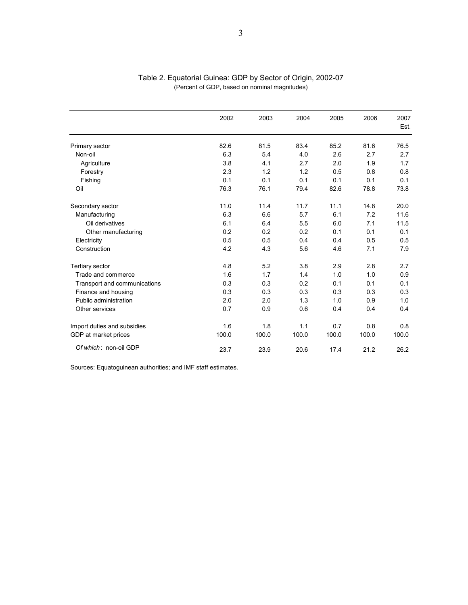|                              | 2002  | 2003  | 2004  | 2005  | 2006  | 2007<br>Est. |
|------------------------------|-------|-------|-------|-------|-------|--------------|
| Primary sector               | 82.6  | 81.5  | 83.4  | 85.2  | 81.6  | 76.5         |
| Non-oil                      | 6.3   | 5.4   | 4.0   | 2.6   | 2.7   | 2.7          |
| Agriculture                  | 3.8   | 4.1   | 2.7   | 2.0   | 1.9   | 1.7          |
| Forestry                     | 2.3   | 1.2   | 1.2   | 0.5   | 0.8   | 0.8          |
| Fishing                      | 0.1   | 0.1   | 0.1   | 0.1   | 0.1   | 0.1          |
| Oil                          | 76.3  | 76.1  | 79.4  | 82.6  | 78.8  | 73.8         |
| Secondary sector             | 11.0  | 11.4  | 11.7  | 11.1  | 14.8  | 20.0         |
| Manufacturing                | 6.3   | 6.6   | 5.7   | 6.1   | 7.2   | 11.6         |
| Oil derivatives              | 6.1   | 6.4   | 5.5   | 6.0   | 7.1   | 11.5         |
| Other manufacturing          | 0.2   | 0.2   | 0.2   | 0.1   | 0.1   | 0.1          |
| Electricity                  | 0.5   | 0.5   | 0.4   | 0.4   | 0.5   | 0.5          |
| Construction                 | 4.2   | 4.3   | 5.6   | 4.6   | 7.1   | 7.9          |
| Tertiary sector              | 4.8   | 5.2   | 3.8   | 2.9   | 2.8   | 2.7          |
| Trade and commerce           | 1.6   | 1.7   | 1.4   | 1.0   | 1.0   | 0.9          |
| Transport and communications | 0.3   | 0.3   | 0.2   | 0.1   | 0.1   | 0.1          |
| Finance and housing          | 0.3   | 0.3   | 0.3   | 0.3   | 0.3   | 0.3          |
| Public administration        | 2.0   | 2.0   | 1.3   | 1.0   | 0.9   | 1.0          |
| Other services               | 0.7   | 0.9   | 0.6   | 0.4   | 0.4   | 0.4          |
| Import duties and subsidies  | 1.6   | 1.8   | 1.1   | 0.7   | 0.8   | 0.8          |
| GDP at market prices         | 100.0 | 100.0 | 100.0 | 100.0 | 100.0 | 100.0        |
| Of which: non-oil GDP        | 23.7  | 23.9  | 20.6  | 17.4  | 21.2  | 26.2         |

#### Table 2. Equatorial Guinea: GDP by Sector of Origin, 2002-07 (Percent of GDP, based on nominal magnitudes)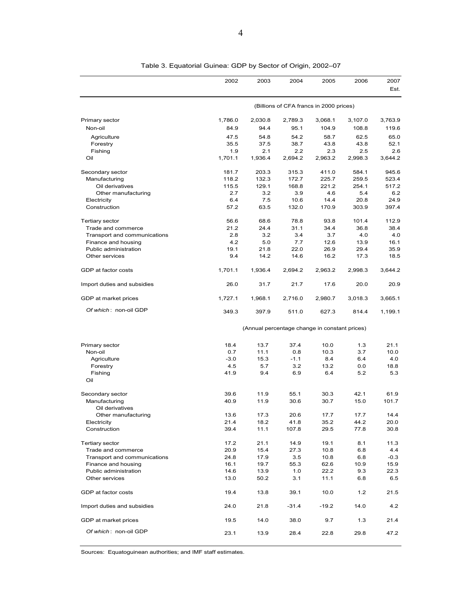|                                         | 2002        | 2003                                          | 2004                                    | 2005         | 2006         | 2007         |
|-----------------------------------------|-------------|-----------------------------------------------|-----------------------------------------|--------------|--------------|--------------|
|                                         |             |                                               |                                         |              |              | Est.         |
|                                         |             |                                               | (Billions of CFA francs in 2000 prices) |              |              |              |
| Primary sector                          | 1,786.0     | 2,030.8                                       | 2,789.3                                 | 3,068.1      | 3,107.0      | 3,763.9      |
| Non-oil                                 | 84.9        | 94.4                                          | 95.1                                    | 104.9        | 108.8        | 119.6        |
| Agriculture                             | 47.5        | 54.8                                          | 54.2                                    | 58.7         | 62.5         | 65.0         |
| Forestry                                | 35.5        | 37.5                                          | 38.7                                    | 43.8         | 43.8         | 52.1         |
| Fishing                                 | 1.9         | 2.1                                           | 2.2                                     | 2.3          | 2.5          | 2.6          |
| Oil                                     | 1,701.1     | 1,936.4                                       | 2,694.2                                 | 2,963.2      | 2,998.3      | 3,644.2      |
| Secondary sector                        | 181.7       | 203.3                                         | 315.3                                   | 411.0        | 584.1        | 945.6        |
| Manufacturing                           | 118.2       | 132.3                                         | 172.7                                   | 225.7        | 259.5        | 523.4        |
| Oil derivatives                         | 115.5       | 129.1                                         | 168.8                                   | 221.2        | 254.1        | 517.2        |
| Other manufacturing                     | 2.7         | 3.2                                           | 3.9                                     | 4.6          | 5.4          | 6.2          |
| Electricity                             | 6.4         | 7.5                                           | 10.6                                    | 14.4         | 20.8         | 24.9         |
| Construction                            | 57.2        | 63.5                                          | 132.0                                   | 170.9        | 303.9        | 397.4        |
| Tertiary sector                         | 56.6        | 68.6                                          | 78.8                                    | 93.8         | 101.4        | 112.9        |
| Trade and commerce                      | 21.2        | 24.4                                          | 31.1                                    | 34.4         | 36.8         | 38.4         |
| Transport and communications            | 2.8         | 3.2                                           | 3.4                                     | 3.7          | 4.0          | 4.0          |
| Finance and housing                     | 4.2         | 5.0                                           | 7.7                                     | 12.6         | 13.9         | 16.1         |
| Public administration<br>Other services | 19.1<br>9.4 | 21.8<br>14.2                                  | 22.0<br>14.6                            | 26.9<br>16.2 | 29.4<br>17.3 | 35.9<br>18.5 |
| GDP at factor costs                     | 1,701.1     | 1,936.4                                       | 2,694.2                                 | 2,963.2      | 2,998.3      | 3,644.2      |
|                                         |             |                                               |                                         |              |              |              |
| Import duties and subsidies             | 26.0        | 31.7                                          | 21.7                                    | 17.6         | 20.0         | 20.9         |
| GDP at market prices                    | 1,727.1     | 1,968.1                                       | 2,716.0                                 | 2,980.7      | 3,018.3      | 3,665.1      |
| Of which: non-oil GDP                   | 349.3       | 397.9                                         | 511.0                                   | 627.3        | 814.4        | 1,199.1      |
|                                         |             | (Annual percentage change in constant prices) |                                         |              |              |              |
| Primary sector                          | 18.4        | 13.7                                          | 37.4                                    | 10.0         | 1.3          | 21.1         |
| Non-oil                                 | 0.7         | 11.1                                          | 0.8                                     | 10.3         | 3.7          | 10.0         |
| Agriculture                             | $-3.0$      | 15.3                                          | $-1.1$                                  | 8.4          | 6.4          | 4.0          |
| Forestry                                | 4.5         | 5.7                                           | 3.2                                     | 13.2         | 0.0          | 18.8         |
| Fishing                                 | 41.9        | 9.4                                           | 6.9                                     | 6.4          | 5.2          | 5.3          |
| Oil                                     |             |                                               |                                         |              |              |              |
| Secondary sector                        | 39.6        | 11.9                                          | 55.1                                    | 30.3         | 42.1         | 61.9         |
| Manufacturing                           | 40.9        | 11.9                                          | 30.6                                    | 30.7         | 15.0         | 101.7        |
| Oil derivatives                         |             |                                               |                                         |              |              |              |
| Other manufacturing                     | 13.6        | 17.3                                          | 20.6                                    | 17.7         | 17.7         | 14.4         |
| Electricity                             | 21.4        | 18.2                                          | 41.8                                    | 35.2         | 44.2         | 20.0         |
| Construction                            | 39.4        | 11.1                                          | 107.8                                   | 29.5         | 77.8         | 30.8         |
| Tertiary sector                         | 17.2        | 21.1                                          | 14.9                                    | 19.1         | 8.1          | 11.3         |
| Trade and commerce                      | 20.9        | 15.4                                          | 27.3                                    | 10.8         | 6.8          | 4.4          |
| Transport and communications            | 24.8        | 17.9                                          | 3.5                                     | 10.8         | 6.8          | $-0.3$       |
| Finance and housing                     | 16.1        | 19.7                                          | 55.3                                    | 62.6         | 10.9         | 15.9         |
| Public administration                   | 14.6        | 13.9                                          | 1.0                                     | 22.2         | 9.3          | 22.3         |
| Other services                          | 13.0        | 50.2                                          | 3.1                                     | 11.1         | 6.8          | 6.5          |
| GDP at factor costs                     | 19.4        | 13.8                                          | 39.1                                    | 10.0         | 1.2          | 21.5         |
| Import duties and subsidies             | 24.0        | 21.8                                          | $-31.4$                                 | $-19.2$      | 14.0         | 4.2          |
| GDP at market prices                    | 19.5        | 14.0                                          | 38.0                                    | 9.7          | 1.3          | 21.4         |
| Of which: non-oil GDP                   | 23.1        | 13.9                                          | 28.4                                    | 22.8         | 29.8         | 47.2         |

Table 3. Equatorial Guinea: GDP by Sector of Origin, 2002–07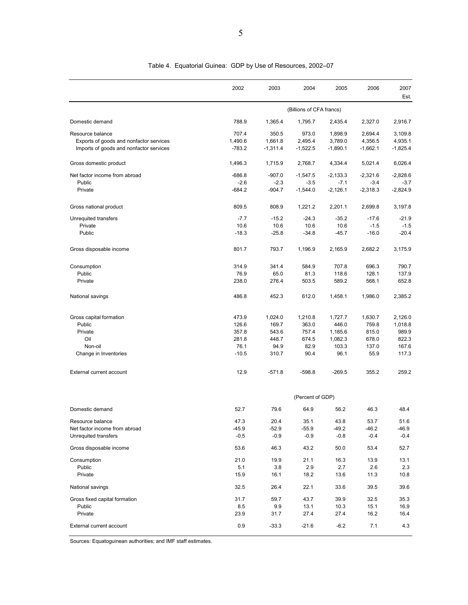|                                         | 2002     | 2003       | 2004                     | 2005       | 2006       | 2007<br>Est. |
|-----------------------------------------|----------|------------|--------------------------|------------|------------|--------------|
|                                         |          |            | (Billions of CFA francs) |            |            |              |
| Domestic demand                         | 788.9    | 1,365.4    | 1,795.7                  | 2,435.4    | 2,327.0    | 2,916.7      |
| Resource balance                        | 707.4    | 350.5      | 973.0                    | 1,898.9    | 2,694.4    | 3,109.8      |
| Exports of goods and nonfactor services | 1,490.6  | 1,661.8    | 2,495.4                  | 3,789.0    | 4,356.5    | 4,935.1      |
| Imports of goods and nonfactor services | $-783.2$ | $-1,311.4$ | $-1,522.5$               | $-1,890.1$ | $-1,662.1$ | $-1,825.4$   |
| Gross domestic product                  | 1,496.3  | 1,715.9    | 2,768.7                  | 4,334.4    | 5,021.4    | 6,026.4      |
| Net factor income from abroad           | $-686.8$ | $-907.0$   | $-1,547.5$               | -2,133.3   | $-2,321.6$ | $-2,828.6$   |
| Public                                  | $-2.6$   | $-2.3$     | $-3.5$                   | $-7.1$     | $-3.4$     | $-3.7$       |
| Private                                 | -684.2   | $-904.7$   | $-1,544.0$               | $-2,126.1$ | $-2,318.3$ | $-2,824.9$   |
| Gross national product                  | 809.5    | 808.9      | 1,221.2                  | 2,201.1    | 2,699.8    | 3,197.8      |
| Unrequited transfers                    | $-7.7$   | $-15.2$    | $-24.3$                  | $-35.2$    | $-17.6$    | $-21.9$      |
| Private                                 | 10.6     | 10.6       | 10.6                     | 10.6       | $-1.5$     | $-1.5$       |
| Public                                  | $-18.3$  | $-25.8$    | $-34.8$                  | $-45.7$    | $-16.0$    | $-20.4$      |
| Gross disposable income                 | 801.7    | 793.7      | 1,196.9                  | 2,165.9    | 2,682.2    | 3,175.9      |
| Consumption                             | 314.9    | 341.4      | 584.9                    | 707.8      | 696.3      | 790.7        |
| Public                                  | 76.9     | 65.0       | 81.3                     | 118.6      | 128.1      | 137.9        |
| Private                                 | 238.0    | 276.4      | 503.5                    | 589.2      | 568.1      | 652.8        |
| National savings                        | 486.8    | 452.3      | 612.0                    | 1,458.1    | 1,986.0    | 2,385.2      |
| Gross capital formation                 | 473.9    | 1,024.0    | 1,210.8                  | 1,727.7    | 1,630.7    | 2,126.0      |
| Public                                  | 126.6    | 169.7      | 363.0                    | 446.0      | 759.8      | 1,018.8      |
| Private                                 | 357.8    | 543.6      | 757.4                    | 1,185.6    | 815.0      | 989.9        |
| Oil                                     | 281.8    | 448.7      | 674.5                    | 1,082.3    | 678.0      | 822.3        |
| Non-oil                                 | 76.1     | 94.9       | 82.9                     | 103.3      | 137.0      | 167.6        |
| Change in Inventories                   | $-10.5$  | 310.7      | 90.4                     | 96.1       | 55.9       | 117.3        |
| External current account                | 12.9     | $-571.8$   | $-598.8$                 | $-269.5$   | 355.2      | 259.2        |
|                                         |          |            | (Percent of GDP)         |            |            |              |
| Domestic demand                         | 52.7     | 79.6       | 64.9                     | 56.2       | 46.3       | 48.4         |
| Resource balance                        | 47.3     | 20.4       | 35.1                     | 43.8       | 53.7       | 51.6         |
| Net factor income from abroad           | -45.9    | $-52.9$    | $-55.9$                  | $-49.2$    | $-46.2$    | $-46.9$      |
| Unrequited transfers                    | $-0.5$   | $-0.9$     | $-0.9$                   | $-0.8$     | $-0.4$     | $-0.4$       |
| Gross disposable income                 | 53.6     | 46.3       | 43.2                     | 50.0       | 53.4       | 52.7         |
| Consumption                             | 21.0     | 19.9       | 21.1                     | 16.3       | 13.9       | 13.1         |
| Public                                  | 5.1      | 3.8        | 2.9                      | 2.7        | 2.6        | 2.3          |
| Private                                 | 15.9     | 16.1       | 18.2                     | 13.6       | 11.3       | 10.8         |
| National savings                        | 32.5     | 26.4       | 22.1                     | 33.6       | 39.5       | 39.6         |
| Gross fixed capital formation           | 31.7     | 59.7       | 43.7                     | 39.9       | 32.5       | 35.3         |
| Public                                  | 8.5      | 9.9        | 13.1                     | 10.3       | 15.1       | 16.9         |
| Private                                 | 23.9     | 31.7       | 27.4                     | 27.4       | 16.2       | 16.4         |
| External current account                | 0.9      | $-33.3$    | $-21.6$                  | $-6.2$     | 7.1        | 4.3          |

Table 4. Equatorial Guinea: GDP by Use of Resources, 2002–07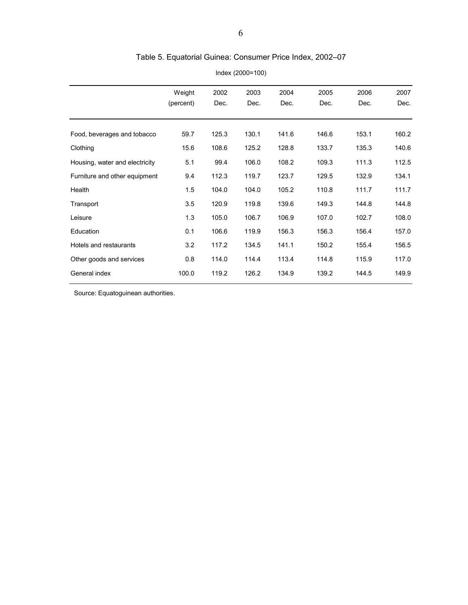# Table 5. Equatorial Guinea: Consumer Price Index, 2002–07

|                                | Weight    | 2002  | 2003  | 2004  | 2005  | 2006  | 2007  |
|--------------------------------|-----------|-------|-------|-------|-------|-------|-------|
|                                | (percent) | Dec.  | Dec.  | Dec.  | Dec.  | Dec.  | Dec.  |
|                                |           |       |       |       |       |       |       |
| Food, beverages and tobacco    | 59.7      | 125.3 | 130.1 | 141.6 | 146.6 | 153.1 | 160.2 |
| Clothing                       | 15.6      | 108.6 | 125.2 | 128.8 | 133.7 | 135.3 | 140.6 |
| Housing, water and electricity | 5.1       | 99.4  | 106.0 | 108.2 | 109.3 | 111.3 | 112.5 |
| Furniture and other equipment  | 9.4       | 112.3 | 119.7 | 123.7 | 129.5 | 132.9 | 134.1 |
| Health                         | 1.5       | 104.0 | 104.0 | 105.2 | 110.8 | 111.7 | 111.7 |
| Transport                      | 3.5       | 120.9 | 119.8 | 139.6 | 149.3 | 144.8 | 144.8 |
| Leisure                        | 1.3       | 105.0 | 106.7 | 106.9 | 107.0 | 102.7 | 108.0 |
| Education                      | 0.1       | 106.6 | 119.9 | 156.3 | 156.3 | 156.4 | 157.0 |
| Hotels and restaurants         | 3.2       | 117.2 | 134.5 | 141.1 | 150.2 | 155.4 | 156.5 |
| Other goods and services       | 0.8       | 114.0 | 114.4 | 113.4 | 114.8 | 115.9 | 117.0 |
| General index                  | 100.0     | 119.2 | 126.2 | 134.9 | 139.2 | 144.5 | 149.9 |
|                                |           |       |       |       |       |       |       |

Index (2000=100)

Source: Equatoguinean authorities.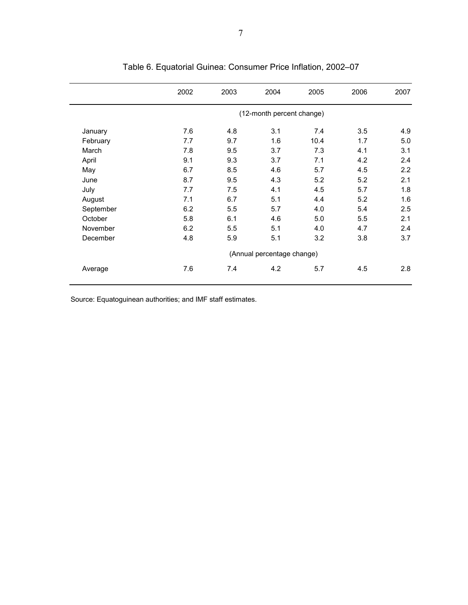|           | 2002 | 2003 | 2004                       | 2005 | 2006 | 2007 |
|-----------|------|------|----------------------------|------|------|------|
|           |      |      | (12-month percent change)  |      |      |      |
| January   | 7.6  | 4.8  | 3.1                        | 7.4  | 3.5  | 4.9  |
| February  | 7.7  | 9.7  | 1.6                        | 10.4 | 1.7  | 5.0  |
| March     | 7.8  | 9.5  | 3.7                        | 7.3  | 4.1  | 3.1  |
| April     | 9.1  | 9.3  | 3.7                        | 7.1  | 4.2  | 2.4  |
| May       | 6.7  | 8.5  | 4.6                        | 5.7  | 4.5  | 2.2  |
| June      | 8.7  | 9.5  | 4.3                        | 5.2  | 5.2  | 2.1  |
| July      | 7.7  | 7.5  | 4.1                        | 4.5  | 5.7  | 1.8  |
| August    | 7.1  | 6.7  | 5.1                        | 4.4  | 5.2  | 1.6  |
| September | 6.2  | 5.5  | 5.7                        | 4.0  | 5.4  | 2.5  |
| October   | 5.8  | 6.1  | 4.6                        | 5.0  | 5.5  | 2.1  |
| November  | 6.2  | 5.5  | 5.1                        | 4.0  | 4.7  | 2.4  |
| December  | 4.8  | 5.9  | 5.1                        | 3.2  | 3.8  | 3.7  |
|           |      |      | (Annual percentage change) |      |      |      |
| Average   | 7.6  | 7.4  | 4.2                        | 5.7  | 4.5  | 2.8  |

# Table 6. Equatorial Guinea: Consumer Price Inflation, 2002–07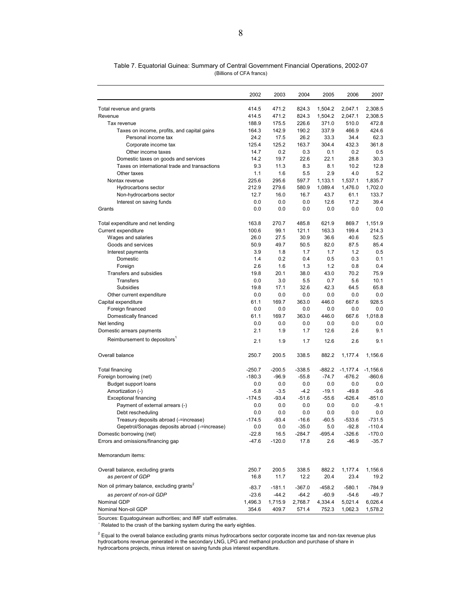| 471.2<br>1,504.2<br>2,308.5<br>Total revenue and grants<br>414.5<br>824.3<br>2,047.1<br>471.2<br>414.5<br>824.3<br>1,504.2<br>2,047.1<br>2,308.5<br>Revenue<br>188.9<br>175.5<br>226.6<br>371.0<br>510.0<br>472.8<br>Tax revenue<br>164.3<br>142.9<br>190.2<br>337.9<br>466.9<br>424.6<br>Taxes on income, profits, and capital gains<br>24.2<br>17.5<br>26.2<br>33.3<br>34.4<br>62.3<br>Personal income tax<br>125.4<br>125.2<br>163.7<br>304.4<br>432.3<br>361.8<br>Corporate income tax<br>14.7<br>0.3<br>0.1<br>0.5<br>Other income taxes<br>0.2<br>0.2<br>14.2<br>19.7<br>22.6<br>22.1<br>28.8<br>30.3<br>Domestic taxes on goods and services<br>Taxes on international trade and transactions<br>9.3<br>11.3<br>8.3<br>8.1<br>10.2<br>12.8<br>1.1<br>5.5<br>2.9<br>4.0<br>5.2<br>Other taxes<br>1.6<br>225.6<br>295.6<br>597.7<br>1,133.1<br>1,537.1<br>1,835.7<br>Nontax revenue<br>212.9<br>279.6<br>580.9<br>1,089.4<br>1,476.0<br>1,702.0<br>Hydrocarbons sector<br>12.7<br>16.0<br>16.7<br>43.7<br>133.7<br>Non-hydrocarbons sector<br>61.1<br>39.4<br>0.0<br>0.0<br>0.0<br>12.6<br>17.2<br>Interest on saving funds<br>0.0<br>0.0<br>0.0<br>0.0<br>0.0<br>Grants<br>0.0<br>163.8<br>270.7<br>621.9<br>1,151.9<br>Total expenditure and net lending<br>485.8<br>869.7<br>100.6<br>99.1<br>121.1<br>163.3<br>199.4<br>214.3<br>Current expenditure<br>26.0<br>27.5<br>30.9<br>36.6<br>52.5<br>Wages and salaries<br>40.6<br>50.9<br>49.7<br>50.5<br>82.0<br>87.5<br>85.4<br>Goods and services<br>3.9<br>1.8<br>1.7<br>1.7<br>1.2<br>0.5<br>Interest payments<br>1.4<br>0.2<br>0.3<br>0.1<br>Domestic<br>0.4<br>0.5<br>2.6<br>1.6<br>1.3<br>1.2<br>0.8<br>0.4<br>Foreign<br>Transfers and subsidies<br>19.8<br>20.1<br>38.0<br>43.0<br>70.2<br>75.9<br>Transfers<br>0.0<br>3.0<br>5.5<br>0.7<br>5.6<br>10.1<br>19.8<br>17.1<br>32.6<br>42.3<br>64.5<br>65.8<br>Subsidies<br>0.0<br>0.0<br>0.0<br>0.0<br>0.0<br>Other current expenditure<br>0.0<br>Capital expenditure<br>61.1<br>169.7<br>363.0<br>446.0<br>667.6<br>928.5<br>0.0<br>0.0<br>0.0<br>Foreign financed<br>0.0<br>0.0<br>0.0 |
|------------------------------------------------------------------------------------------------------------------------------------------------------------------------------------------------------------------------------------------------------------------------------------------------------------------------------------------------------------------------------------------------------------------------------------------------------------------------------------------------------------------------------------------------------------------------------------------------------------------------------------------------------------------------------------------------------------------------------------------------------------------------------------------------------------------------------------------------------------------------------------------------------------------------------------------------------------------------------------------------------------------------------------------------------------------------------------------------------------------------------------------------------------------------------------------------------------------------------------------------------------------------------------------------------------------------------------------------------------------------------------------------------------------------------------------------------------------------------------------------------------------------------------------------------------------------------------------------------------------------------------------------------------------------------------------------------------------------------------------------------------------------------------------------------------------------------------------------------------------------------------------------------------------------------------------------------------------------------------------------------------------------------------------------------------------------------------------------------|
|                                                                                                                                                                                                                                                                                                                                                                                                                                                                                                                                                                                                                                                                                                                                                                                                                                                                                                                                                                                                                                                                                                                                                                                                                                                                                                                                                                                                                                                                                                                                                                                                                                                                                                                                                                                                                                                                                                                                                                                                                                                                                                      |
|                                                                                                                                                                                                                                                                                                                                                                                                                                                                                                                                                                                                                                                                                                                                                                                                                                                                                                                                                                                                                                                                                                                                                                                                                                                                                                                                                                                                                                                                                                                                                                                                                                                                                                                                                                                                                                                                                                                                                                                                                                                                                                      |
|                                                                                                                                                                                                                                                                                                                                                                                                                                                                                                                                                                                                                                                                                                                                                                                                                                                                                                                                                                                                                                                                                                                                                                                                                                                                                                                                                                                                                                                                                                                                                                                                                                                                                                                                                                                                                                                                                                                                                                                                                                                                                                      |
|                                                                                                                                                                                                                                                                                                                                                                                                                                                                                                                                                                                                                                                                                                                                                                                                                                                                                                                                                                                                                                                                                                                                                                                                                                                                                                                                                                                                                                                                                                                                                                                                                                                                                                                                                                                                                                                                                                                                                                                                                                                                                                      |
|                                                                                                                                                                                                                                                                                                                                                                                                                                                                                                                                                                                                                                                                                                                                                                                                                                                                                                                                                                                                                                                                                                                                                                                                                                                                                                                                                                                                                                                                                                                                                                                                                                                                                                                                                                                                                                                                                                                                                                                                                                                                                                      |
|                                                                                                                                                                                                                                                                                                                                                                                                                                                                                                                                                                                                                                                                                                                                                                                                                                                                                                                                                                                                                                                                                                                                                                                                                                                                                                                                                                                                                                                                                                                                                                                                                                                                                                                                                                                                                                                                                                                                                                                                                                                                                                      |
|                                                                                                                                                                                                                                                                                                                                                                                                                                                                                                                                                                                                                                                                                                                                                                                                                                                                                                                                                                                                                                                                                                                                                                                                                                                                                                                                                                                                                                                                                                                                                                                                                                                                                                                                                                                                                                                                                                                                                                                                                                                                                                      |
|                                                                                                                                                                                                                                                                                                                                                                                                                                                                                                                                                                                                                                                                                                                                                                                                                                                                                                                                                                                                                                                                                                                                                                                                                                                                                                                                                                                                                                                                                                                                                                                                                                                                                                                                                                                                                                                                                                                                                                                                                                                                                                      |
|                                                                                                                                                                                                                                                                                                                                                                                                                                                                                                                                                                                                                                                                                                                                                                                                                                                                                                                                                                                                                                                                                                                                                                                                                                                                                                                                                                                                                                                                                                                                                                                                                                                                                                                                                                                                                                                                                                                                                                                                                                                                                                      |
|                                                                                                                                                                                                                                                                                                                                                                                                                                                                                                                                                                                                                                                                                                                                                                                                                                                                                                                                                                                                                                                                                                                                                                                                                                                                                                                                                                                                                                                                                                                                                                                                                                                                                                                                                                                                                                                                                                                                                                                                                                                                                                      |
|                                                                                                                                                                                                                                                                                                                                                                                                                                                                                                                                                                                                                                                                                                                                                                                                                                                                                                                                                                                                                                                                                                                                                                                                                                                                                                                                                                                                                                                                                                                                                                                                                                                                                                                                                                                                                                                                                                                                                                                                                                                                                                      |
|                                                                                                                                                                                                                                                                                                                                                                                                                                                                                                                                                                                                                                                                                                                                                                                                                                                                                                                                                                                                                                                                                                                                                                                                                                                                                                                                                                                                                                                                                                                                                                                                                                                                                                                                                                                                                                                                                                                                                                                                                                                                                                      |
|                                                                                                                                                                                                                                                                                                                                                                                                                                                                                                                                                                                                                                                                                                                                                                                                                                                                                                                                                                                                                                                                                                                                                                                                                                                                                                                                                                                                                                                                                                                                                                                                                                                                                                                                                                                                                                                                                                                                                                                                                                                                                                      |
|                                                                                                                                                                                                                                                                                                                                                                                                                                                                                                                                                                                                                                                                                                                                                                                                                                                                                                                                                                                                                                                                                                                                                                                                                                                                                                                                                                                                                                                                                                                                                                                                                                                                                                                                                                                                                                                                                                                                                                                                                                                                                                      |
|                                                                                                                                                                                                                                                                                                                                                                                                                                                                                                                                                                                                                                                                                                                                                                                                                                                                                                                                                                                                                                                                                                                                                                                                                                                                                                                                                                                                                                                                                                                                                                                                                                                                                                                                                                                                                                                                                                                                                                                                                                                                                                      |
|                                                                                                                                                                                                                                                                                                                                                                                                                                                                                                                                                                                                                                                                                                                                                                                                                                                                                                                                                                                                                                                                                                                                                                                                                                                                                                                                                                                                                                                                                                                                                                                                                                                                                                                                                                                                                                                                                                                                                                                                                                                                                                      |
|                                                                                                                                                                                                                                                                                                                                                                                                                                                                                                                                                                                                                                                                                                                                                                                                                                                                                                                                                                                                                                                                                                                                                                                                                                                                                                                                                                                                                                                                                                                                                                                                                                                                                                                                                                                                                                                                                                                                                                                                                                                                                                      |
|                                                                                                                                                                                                                                                                                                                                                                                                                                                                                                                                                                                                                                                                                                                                                                                                                                                                                                                                                                                                                                                                                                                                                                                                                                                                                                                                                                                                                                                                                                                                                                                                                                                                                                                                                                                                                                                                                                                                                                                                                                                                                                      |
|                                                                                                                                                                                                                                                                                                                                                                                                                                                                                                                                                                                                                                                                                                                                                                                                                                                                                                                                                                                                                                                                                                                                                                                                                                                                                                                                                                                                                                                                                                                                                                                                                                                                                                                                                                                                                                                                                                                                                                                                                                                                                                      |
|                                                                                                                                                                                                                                                                                                                                                                                                                                                                                                                                                                                                                                                                                                                                                                                                                                                                                                                                                                                                                                                                                                                                                                                                                                                                                                                                                                                                                                                                                                                                                                                                                                                                                                                                                                                                                                                                                                                                                                                                                                                                                                      |
|                                                                                                                                                                                                                                                                                                                                                                                                                                                                                                                                                                                                                                                                                                                                                                                                                                                                                                                                                                                                                                                                                                                                                                                                                                                                                                                                                                                                                                                                                                                                                                                                                                                                                                                                                                                                                                                                                                                                                                                                                                                                                                      |
|                                                                                                                                                                                                                                                                                                                                                                                                                                                                                                                                                                                                                                                                                                                                                                                                                                                                                                                                                                                                                                                                                                                                                                                                                                                                                                                                                                                                                                                                                                                                                                                                                                                                                                                                                                                                                                                                                                                                                                                                                                                                                                      |
|                                                                                                                                                                                                                                                                                                                                                                                                                                                                                                                                                                                                                                                                                                                                                                                                                                                                                                                                                                                                                                                                                                                                                                                                                                                                                                                                                                                                                                                                                                                                                                                                                                                                                                                                                                                                                                                                                                                                                                                                                                                                                                      |
|                                                                                                                                                                                                                                                                                                                                                                                                                                                                                                                                                                                                                                                                                                                                                                                                                                                                                                                                                                                                                                                                                                                                                                                                                                                                                                                                                                                                                                                                                                                                                                                                                                                                                                                                                                                                                                                                                                                                                                                                                                                                                                      |
|                                                                                                                                                                                                                                                                                                                                                                                                                                                                                                                                                                                                                                                                                                                                                                                                                                                                                                                                                                                                                                                                                                                                                                                                                                                                                                                                                                                                                                                                                                                                                                                                                                                                                                                                                                                                                                                                                                                                                                                                                                                                                                      |
|                                                                                                                                                                                                                                                                                                                                                                                                                                                                                                                                                                                                                                                                                                                                                                                                                                                                                                                                                                                                                                                                                                                                                                                                                                                                                                                                                                                                                                                                                                                                                                                                                                                                                                                                                                                                                                                                                                                                                                                                                                                                                                      |
|                                                                                                                                                                                                                                                                                                                                                                                                                                                                                                                                                                                                                                                                                                                                                                                                                                                                                                                                                                                                                                                                                                                                                                                                                                                                                                                                                                                                                                                                                                                                                                                                                                                                                                                                                                                                                                                                                                                                                                                                                                                                                                      |
|                                                                                                                                                                                                                                                                                                                                                                                                                                                                                                                                                                                                                                                                                                                                                                                                                                                                                                                                                                                                                                                                                                                                                                                                                                                                                                                                                                                                                                                                                                                                                                                                                                                                                                                                                                                                                                                                                                                                                                                                                                                                                                      |
| 61.1<br>169.7<br>363.0<br>446.0<br>667.6<br>1,018.8<br>Domestically financed                                                                                                                                                                                                                                                                                                                                                                                                                                                                                                                                                                                                                                                                                                                                                                                                                                                                                                                                                                                                                                                                                                                                                                                                                                                                                                                                                                                                                                                                                                                                                                                                                                                                                                                                                                                                                                                                                                                                                                                                                         |
| 0.0<br>0.0<br>Net lending<br>0.0<br>0.0<br>0.0<br>0.0                                                                                                                                                                                                                                                                                                                                                                                                                                                                                                                                                                                                                                                                                                                                                                                                                                                                                                                                                                                                                                                                                                                                                                                                                                                                                                                                                                                                                                                                                                                                                                                                                                                                                                                                                                                                                                                                                                                                                                                                                                                |
| 2.1<br>9.1<br>Domestic arrears payments<br>1.9<br>1.7<br>12.6<br>2.6                                                                                                                                                                                                                                                                                                                                                                                                                                                                                                                                                                                                                                                                                                                                                                                                                                                                                                                                                                                                                                                                                                                                                                                                                                                                                                                                                                                                                                                                                                                                                                                                                                                                                                                                                                                                                                                                                                                                                                                                                                 |
| Reimbursement to depositors <sup>1</sup><br>2.1<br>1.9<br>12.6<br>2.6<br>9.1<br>1.7                                                                                                                                                                                                                                                                                                                                                                                                                                                                                                                                                                                                                                                                                                                                                                                                                                                                                                                                                                                                                                                                                                                                                                                                                                                                                                                                                                                                                                                                                                                                                                                                                                                                                                                                                                                                                                                                                                                                                                                                                  |
| 250.7<br>200.5<br>338.5<br>Overall balance<br>882.2<br>1,177.4<br>1,156.6                                                                                                                                                                                                                                                                                                                                                                                                                                                                                                                                                                                                                                                                                                                                                                                                                                                                                                                                                                                                                                                                                                                                                                                                                                                                                                                                                                                                                                                                                                                                                                                                                                                                                                                                                                                                                                                                                                                                                                                                                            |
| $-250.7$<br>$-200.5$<br>$-338.5$<br>$-882.2$<br>Total financing<br>$-1,177.4$<br>$-1,156.6$                                                                                                                                                                                                                                                                                                                                                                                                                                                                                                                                                                                                                                                                                                                                                                                                                                                                                                                                                                                                                                                                                                                                                                                                                                                                                                                                                                                                                                                                                                                                                                                                                                                                                                                                                                                                                                                                                                                                                                                                          |
| Foreign borrowing (net)<br>$-180.3$<br>$-96.9$<br>$-55.8$<br>$-74.7$<br>$-676.2$<br>$-860.6$                                                                                                                                                                                                                                                                                                                                                                                                                                                                                                                                                                                                                                                                                                                                                                                                                                                                                                                                                                                                                                                                                                                                                                                                                                                                                                                                                                                                                                                                                                                                                                                                                                                                                                                                                                                                                                                                                                                                                                                                         |
| 0.0<br>0.0<br>0.0<br><b>Budget support loans</b><br>0.0<br>0.0<br>0.0                                                                                                                                                                                                                                                                                                                                                                                                                                                                                                                                                                                                                                                                                                                                                                                                                                                                                                                                                                                                                                                                                                                                                                                                                                                                                                                                                                                                                                                                                                                                                                                                                                                                                                                                                                                                                                                                                                                                                                                                                                |
| Amortization (-)<br>$-5.8$<br>$-4.2$<br>$-19.1$<br>$-49.8$<br>$-9.6$<br>$-3.5$                                                                                                                                                                                                                                                                                                                                                                                                                                                                                                                                                                                                                                                                                                                                                                                                                                                                                                                                                                                                                                                                                                                                                                                                                                                                                                                                                                                                                                                                                                                                                                                                                                                                                                                                                                                                                                                                                                                                                                                                                       |
| <b>Exceptional financing</b><br>$-174.5$<br>$-93.4$<br>$-51.6$<br>$-55.6$<br>$-626.4$<br>$-851.0$                                                                                                                                                                                                                                                                                                                                                                                                                                                                                                                                                                                                                                                                                                                                                                                                                                                                                                                                                                                                                                                                                                                                                                                                                                                                                                                                                                                                                                                                                                                                                                                                                                                                                                                                                                                                                                                                                                                                                                                                    |
| 0.0<br>$-9.1$<br>Payment of external arrears (-)<br>0.0<br>0.0<br>0.0<br>0.0                                                                                                                                                                                                                                                                                                                                                                                                                                                                                                                                                                                                                                                                                                                                                                                                                                                                                                                                                                                                                                                                                                                                                                                                                                                                                                                                                                                                                                                                                                                                                                                                                                                                                                                                                                                                                                                                                                                                                                                                                         |
| 0.0<br>Debt rescheduling<br>0.0<br>0.0<br>0.0<br>0.0<br>0.0                                                                                                                                                                                                                                                                                                                                                                                                                                                                                                                                                                                                                                                                                                                                                                                                                                                                                                                                                                                                                                                                                                                                                                                                                                                                                                                                                                                                                                                                                                                                                                                                                                                                                                                                                                                                                                                                                                                                                                                                                                          |
| $-174.5$<br>$-93.4$<br>$-16.6$<br>$-533.6$<br>$-731.5$<br>Treasury deposits abroad (-=increase)<br>$-60.5$                                                                                                                                                                                                                                                                                                                                                                                                                                                                                                                                                                                                                                                                                                                                                                                                                                                                                                                                                                                                                                                                                                                                                                                                                                                                                                                                                                                                                                                                                                                                                                                                                                                                                                                                                                                                                                                                                                                                                                                           |
| 0.0<br>5.0<br>Gepetrol/Sonagas deposits abroad (-=increase)<br>0.0<br>$-35.0$<br>$-92.8$<br>$-110.4$                                                                                                                                                                                                                                                                                                                                                                                                                                                                                                                                                                                                                                                                                                                                                                                                                                                                                                                                                                                                                                                                                                                                                                                                                                                                                                                                                                                                                                                                                                                                                                                                                                                                                                                                                                                                                                                                                                                                                                                                 |
| Domestic borrowing (net)<br>$-22.8$<br>$-284.7$<br>$-695.4$<br>$-326.6$<br>$-170.0$<br>16.5                                                                                                                                                                                                                                                                                                                                                                                                                                                                                                                                                                                                                                                                                                                                                                                                                                                                                                                                                                                                                                                                                                                                                                                                                                                                                                                                                                                                                                                                                                                                                                                                                                                                                                                                                                                                                                                                                                                                                                                                          |
| Errors and omissions/financing gap<br>$-47.6$<br>$-120.0$<br>17.8<br>2.6<br>$-46.9$<br>$-35.7$                                                                                                                                                                                                                                                                                                                                                                                                                                                                                                                                                                                                                                                                                                                                                                                                                                                                                                                                                                                                                                                                                                                                                                                                                                                                                                                                                                                                                                                                                                                                                                                                                                                                                                                                                                                                                                                                                                                                                                                                       |
| Memorandum items:                                                                                                                                                                                                                                                                                                                                                                                                                                                                                                                                                                                                                                                                                                                                                                                                                                                                                                                                                                                                                                                                                                                                                                                                                                                                                                                                                                                                                                                                                                                                                                                                                                                                                                                                                                                                                                                                                                                                                                                                                                                                                    |
| Overall balance, excluding grants<br>250.7<br>200.5<br>338.5<br>882.2<br>1,156.6<br>1,177.4                                                                                                                                                                                                                                                                                                                                                                                                                                                                                                                                                                                                                                                                                                                                                                                                                                                                                                                                                                                                                                                                                                                                                                                                                                                                                                                                                                                                                                                                                                                                                                                                                                                                                                                                                                                                                                                                                                                                                                                                          |
| as percent of GDP<br>11.7<br>12.2<br>20.4<br>23.4<br>19.2<br>16.8                                                                                                                                                                                                                                                                                                                                                                                                                                                                                                                                                                                                                                                                                                                                                                                                                                                                                                                                                                                                                                                                                                                                                                                                                                                                                                                                                                                                                                                                                                                                                                                                                                                                                                                                                                                                                                                                                                                                                                                                                                    |
| Non oil primary balance, excluding grants <sup>2</sup><br>$-181.1$<br>$-367.0$<br>$-458.2$<br>$-580.1$<br>$-784.9$<br>$-83.7$                                                                                                                                                                                                                                                                                                                                                                                                                                                                                                                                                                                                                                                                                                                                                                                                                                                                                                                                                                                                                                                                                                                                                                                                                                                                                                                                                                                                                                                                                                                                                                                                                                                                                                                                                                                                                                                                                                                                                                        |
| as percent of non-oil GDP<br>$-23.6$<br>$-44.2$<br>$-64.2$<br>$-60.9$<br>$-54.6$<br>$-49.7$                                                                                                                                                                                                                                                                                                                                                                                                                                                                                                                                                                                                                                                                                                                                                                                                                                                                                                                                                                                                                                                                                                                                                                                                                                                                                                                                                                                                                                                                                                                                                                                                                                                                                                                                                                                                                                                                                                                                                                                                          |
| Nominal GDP<br>1,496.3<br>1,715.9<br>4,334.4<br>5,021.4<br>6,026.4<br>2,768.7                                                                                                                                                                                                                                                                                                                                                                                                                                                                                                                                                                                                                                                                                                                                                                                                                                                                                                                                                                                                                                                                                                                                                                                                                                                                                                                                                                                                                                                                                                                                                                                                                                                                                                                                                                                                                                                                                                                                                                                                                        |
| Nominal Non-oil GDP<br>409.7<br>354.6<br>571.4<br>752.3<br>1,062.3<br>1,578.2                                                                                                                                                                                                                                                                                                                                                                                                                                                                                                                                                                                                                                                                                                                                                                                                                                                                                                                                                                                                                                                                                                                                                                                                                                                                                                                                                                                                                                                                                                                                                                                                                                                                                                                                                                                                                                                                                                                                                                                                                        |

Table 7. Equatorial Guinea: Summary of Central Government Financial Operations, 2002-07 (Billions of CFA francs)

' Related to the crash of the banking system during the early eighties.

 $^2$  Equal to the overall balance excluding grants minus hydrocarbons sector corporate income tax and non-tax revenue plus hydrocarbons revenue generated in the secondary LNG, LPG and methanol production and purchase of share in hydrocarbons projects, minus interest on saving funds plus interest expenditure.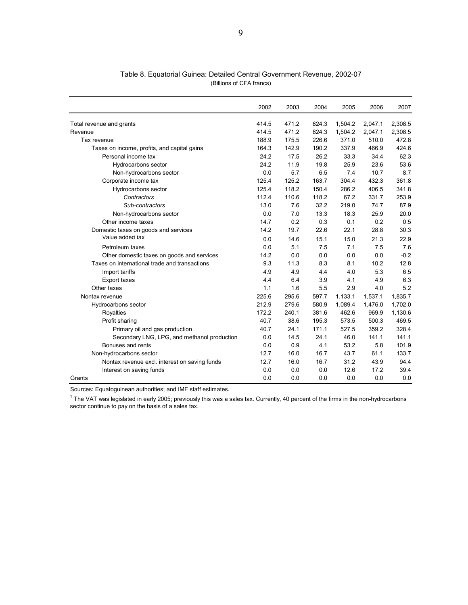|                                               | 2002  | 2003  | 2004  | 2005    | 2006    | 2007    |
|-----------------------------------------------|-------|-------|-------|---------|---------|---------|
| Total revenue and grants                      | 414.5 | 471.2 | 824.3 | 1,504.2 | 2,047.1 | 2,308.5 |
| Revenue                                       | 414.5 | 471.2 | 824.3 | 1,504.2 | 2,047.1 | 2,308.5 |
| Tax revenue                                   | 188.9 | 175.5 | 226.6 | 371.0   | 510.0   | 472.8   |
| Taxes on income, profits, and capital gains   | 164.3 | 142.9 | 190.2 | 337.9   | 466.9   | 424.6   |
| Personal income tax                           | 24.2  | 17.5  | 26.2  | 33.3    | 34.4    | 62.3    |
| Hydrocarbons sector                           | 24.2  | 11.9  | 19.8  | 25.9    | 23.6    | 53.6    |
| Non-hydrocarbons sector                       | 0.0   | 5.7   | 6.5   | 7.4     | 10.7    | 8.7     |
| Corporate income tax                          | 125.4 | 125.2 | 163.7 | 304.4   | 432.3   | 361.8   |
| Hydrocarbons sector                           | 125.4 | 118.2 | 150.4 | 286.2   | 406.5   | 341.8   |
| Contractors                                   | 112.4 | 110.6 | 118.2 | 67.2    | 331.7   | 253.9   |
| Sub-contractors                               | 13.0  | 7.6   | 32.2  | 219.0   | 74.7    | 87.9    |
| Non-hydrocarbons sector                       | 0.0   | 7.0   | 13.3  | 18.3    | 25.9    | 20.0    |
| Other income taxes                            | 14.7  | 0.2   | 0.3   | 0.1     | 0.2     | 0.5     |
| Domestic taxes on goods and services          | 14.2  | 19.7  | 22.6  | 22.1    | 28.8    | 30.3    |
| Value added tax                               | 0.0   | 14.6  | 15.1  | 15.0    | 21.3    | 22.9    |
| Petroleum taxes                               | 0.0   | 5.1   | 7.5   | 7.1     | 7.5     | 7.6     |
| Other domestic taxes on goods and services    | 14.2  | 0.0   | 0.0   | 0.0     | 0.0     | $-0.2$  |
| Taxes on international trade and transactions | 9.3   | 11.3  | 8.3   | 8.1     | 10.2    | 12.8    |
| Import tariffs                                | 4.9   | 4.9   | 4.4   | 4.0     | 5.3     | 6.5     |
| <b>Export taxes</b>                           | 4.4   | 6.4   | 3.9   | 4.1     | 4.9     | 6.3     |
| Other taxes                                   | 1.1   | 1.6   | 5.5   | 2.9     | 4.0     | 5.2     |
| Nontax revenue                                | 225.6 | 295.6 | 597.7 | 1,133.1 | 1,537.1 | 1,835.7 |
| Hydrocarbons sector                           | 212.9 | 279.6 | 580.9 | 1,089.4 | 1,476.0 | 1,702.0 |
| Royalties                                     | 172.2 | 240.1 | 381.6 | 462.6   | 969.9   | 1,130.6 |
| Profit sharing                                | 40.7  | 38.6  | 195.3 | 573.5   | 500.3   | 469.5   |
| Primary oil and gas production                | 40.7  | 24.1  | 171.1 | 527.5   | 359.2   | 328.4   |
| Secondary LNG, LPG, and methanol production   | 0.0   | 14.5  | 24.1  | 46.0    | 141.1   | 141.1   |
| Bonuses and rents                             | 0.0   | 0.9   | 4.1   | 53.2    | 5.8     | 101.9   |
| Non-hydrocarbons sector                       | 12.7  | 16.0  | 16.7  | 43.7    | 61.1    | 133.7   |
| Nontax revenue excl. interest on saving funds | 12.7  | 16.0  | 16.7  | 31.2    | 43.9    | 94.4    |
| Interest on saving funds                      | 0.0   | 0.0   | 0.0   | 12.6    | 17.2    | 39.4    |
| Grants                                        | 0.0   | 0.0   | 0.0   | 0.0     | 0.0     | 0.0     |

Table 8. Equatorial Guinea: Detailed Central Government Revenue, 2002-07 (Billions of CFA francs)

 $1$  The VAT was legislated in early 2005; previously this was a sales tax. Currently, 40 percent of the firms in the non-hydrocarbons sector continue to pay on the basis of a sales tax.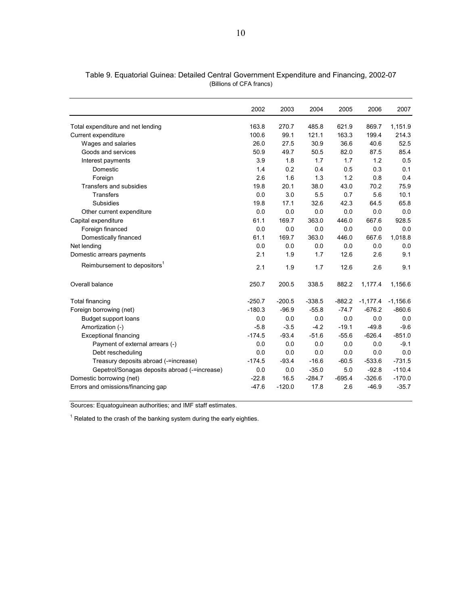|                                               | 2002     | 2003     | 2004     | 2005     | 2006       | 2007       |
|-----------------------------------------------|----------|----------|----------|----------|------------|------------|
| Total expenditure and net lending             | 163.8    | 270.7    | 485.8    | 621.9    | 869.7      | 1,151.9    |
| Current expenditure                           | 100.6    | 99.1     | 121.1    | 163.3    | 199.4      | 214.3      |
| Wages and salaries                            | 26.0     | 27.5     | 30.9     | 36.6     | 40.6       | 52.5       |
| Goods and services                            | 50.9     | 49.7     | 50.5     | 82.0     | 87.5       | 85.4       |
| Interest payments                             | 3.9      | 1.8      | 1.7      | 1.7      | 1.2        | 0.5        |
| Domestic                                      | 1.4      | 0.2      | 0.4      | 0.5      | 0.3        | 0.1        |
| Foreign                                       | 2.6      | 1.6      | 1.3      | 1.2      | 0.8        | 0.4        |
| Transfers and subsidies                       | 19.8     | 20.1     | 38.0     | 43.0     | 70.2       | 75.9       |
| <b>Transfers</b>                              | 0.0      | 3.0      | 5.5      | 0.7      | 5.6        | 10.1       |
| <b>Subsidies</b>                              | 19.8     | 17.1     | 32.6     | 42.3     | 64.5       | 65.8       |
| Other current expenditure                     | 0.0      | 0.0      | 0.0      | 0.0      | 0.0        | 0.0        |
| Capital expenditure                           | 61.1     | 169.7    | 363.0    | 446.0    | 667.6      | 928.5      |
| Foreign financed                              | 0.0      | 0.0      | 0.0      | 0.0      | 0.0        | 0.0        |
| Domestically financed                         | 61.1     | 169.7    | 363.0    | 446.0    | 667.6      | 1.018.8    |
| Net lending                                   | 0.0      | 0.0      | 0.0      | 0.0      | 0.0        | 0.0        |
| Domestic arrears payments                     | 2.1      | 1.9      | 1.7      | 12.6     | 2.6        | 9.1        |
| Reimbursement to depositors                   | 2.1      | 1.9      | 1.7      | 12.6     | 2.6        | 9.1        |
| Overall balance                               | 250.7    | 200.5    | 338.5    | 882.2    | 1,177.4    | 1,156.6    |
| Total financing                               | $-250.7$ | $-200.5$ | $-338.5$ | $-882.2$ | $-1,177.4$ | $-1,156.6$ |
| Foreign borrowing (net)                       | $-180.3$ | $-96.9$  | $-55.8$  | $-74.7$  | $-676.2$   | $-860.6$   |
| Budget support loans                          | 0.0      | 0.0      | 0.0      | 0.0      | 0.0        | 0.0        |
| Amortization (-)                              | $-5.8$   | $-3.5$   | $-4.2$   | $-19.1$  | $-49.8$    | $-9.6$     |
| <b>Exceptional financing</b>                  | $-174.5$ | $-93.4$  | $-51.6$  | $-55.6$  | $-626.4$   | $-851.0$   |
| Payment of external arrears (-)               | 0.0      | 0.0      | 0.0      | 0.0      | 0.0        | $-9.1$     |
| Debt rescheduling                             | 0.0      | 0.0      | 0.0      | 0.0      | 0.0        | 0.0        |
| Treasury deposits abroad (-=increase)         | $-174.5$ | $-93.4$  | $-16.6$  | $-60.5$  | $-533.6$   | $-731.5$   |
| Gepetrol/Sonagas deposits abroad (-=increase) | 0.0      | 0.0      | $-35.0$  | 5.0      | $-92.8$    | $-110.4$   |
| Domestic borrowing (net)                      | $-22.8$  | 16.5     | $-284.7$ | $-695.4$ | $-326.6$   | $-170.0$   |
| Errors and omissions/financing gap            | $-47.6$  | $-120.0$ | 17.8     | 2.6      | $-46.9$    | $-35.7$    |

Table 9. Equatorial Guinea: Detailed Central Government Expenditure and Financing, 2002-07 (Billions of CFA francs)

 $1$  Related to the crash of the banking system during the early eighties.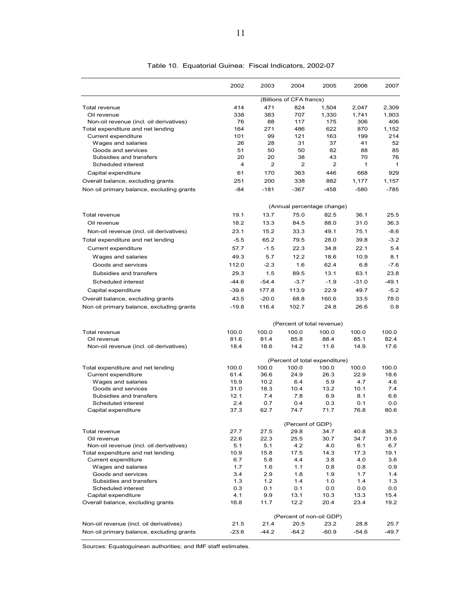|                                               | 2002        | 2003             | 2004                     | 2005                           | 2006         | 2007        |  |
|-----------------------------------------------|-------------|------------------|--------------------------|--------------------------------|--------------|-------------|--|
|                                               |             |                  | (Billions of CFA francs) |                                |              |             |  |
| Total revenue                                 | 414         | 471              | 824                      | 1,504                          | 2,047        | 2,309       |  |
| Oil revenue                                   | 338         | 383              | 707                      | 1,330                          | 1,741        | 1,903       |  |
| Non-oil revenue (incl. oil derivatives)       | 76          | 88               | 117                      | 175                            | 306          | 406         |  |
| Total expenditure and net lending             | 164         | 271              | 486                      | 622                            | 870          | 1.152       |  |
| Current expenditure                           | 101         | 99               | 121                      | 163                            | 199          | 214         |  |
| Wages and salaries                            | 26          | 28               | 31                       | 37                             | 41           | 52          |  |
| Goods and services<br>Subsidies and transfers | 51<br>20    | 50<br>20         | 50<br>38                 | 82<br>43                       | 88<br>70     | 85<br>76    |  |
| Scheduled interest                            | 4           | 2                | 2                        | 2                              | $\mathbf{1}$ | 1           |  |
|                                               | 61          | 170              | 363                      | 446                            | 668          | 929         |  |
| Capital expenditure                           |             |                  |                          |                                |              |             |  |
| Overall balance, excluding grants             | 251         | 200              | 338                      | 882                            | 1,177        | 1.157       |  |
| Non oil primary balance, excluding grants     | -84         | $-181$           | $-367$                   | $-458$                         | $-580$       | $-785$      |  |
|                                               |             |                  |                          | (Annual percentage change)     |              |             |  |
| Total revenue                                 | 19.1        | 13.7             | 75.0                     | 82.5                           | 36.1         | 25.5        |  |
| Oil revenue                                   | 18.2        | 13.3             | 84.5                     | 88.0                           | 31.0         | 36.3        |  |
| Non-oil revenue (incl. oil derivatives)       | 23.1        | 15.2             | 33.3                     | 49.1                           | 75.1         | $-8.6$      |  |
| Total expenditure and net lending             | $-5.5$      | 65.2             | 79.5                     | 28.0                           | 39.8         | $-3.2$      |  |
| Current expenditure                           | 57.7        | $-1.5$           | 22.3                     | 34.8                           | 22.1         | 5.4         |  |
| Wages and salaries                            | 49.3        | 5.7              | 12.2                     | 18.6                           | 10.9         | 8.1         |  |
| Goods and services                            | 112.0       | $-2.3$           | 1.6                      | 62.4                           | 6.8          | $-7.6$      |  |
| Subsidies and transfers                       | 29.3        | 1.5              | 89.5                     | 13.1                           | 63.1         | 23.8        |  |
| Scheduled interest                            | $-44.6$     | $-54.4$          | $-3.7$                   | $-1.9$                         | $-31.0$      | $-49.1$     |  |
|                                               |             |                  |                          |                                |              |             |  |
| Capital expenditure                           | $-39.8$     | 177.8            | 113.9                    | 22.9                           | 49.7         | $-5.2$      |  |
| Overall balance, excluding grants             | 43.5        | $-20.0$          | 68.8                     | 160.6                          | 33.5         | 78.0        |  |
| Non oil primary balance, excluding grants     | -19.8       | 116.4            | 102.7                    | 24.8                           | 26.6         | 0.8         |  |
|                                               |             |                  |                          | (Percent of total revenue)     |              |             |  |
| Total revenue                                 | 100.0       | 100.0            | 100.0                    | 100.0                          | 100.0        | 100.0       |  |
| Oil revenue                                   | 81.6        | 81.4             | 85.8                     | 88.4                           | 85.1         | 82.4        |  |
| Non-oil revenue (incl. oil derivatives)       | 18.4        | 18.6             | 14.2                     | 11.6                           | 14.9         | 17.6        |  |
|                                               |             |                  |                          | (Percent of total expenditure) |              |             |  |
| Total expenditure and net lending             | 100.0       | 100.0            | 100.0                    | 100.0                          | 100.0        | 100.0       |  |
| Current expenditure                           | 61.4        | 36.6             | 24.9                     | 26.3                           | 22.9         | 18.6        |  |
| Wages and salaries                            | 15.9        | 10.2             | 6.4                      | 5.9                            | 4.7          | 4.6         |  |
| Goods and services                            | 31.0        | 18.3             | 10.4                     | 13.2                           | 10.1         | 7.4         |  |
| Subsidies and transfers<br>Scheduled interest | 12.1<br>2.4 | 7.4<br>0.7       | 7.8<br>0.4               | 6.9                            | 8.1<br>0.1   | 6.6         |  |
| Capital expenditure                           | 37.3        | 62.7             | 74.7                     | 0.3<br>71.7                    | 76.8         | 0.0<br>80.6 |  |
|                                               |             | (Percent of GDP) |                          |                                |              |             |  |
| Total revenue                                 | 27.7        | 27.5             | 29.8                     | 34.7                           | 40.8         | 38.3        |  |
| Oil revenue                                   | 22.6        | 22.3             | 25.5                     | 30.7                           | 34.7         | 31.6        |  |
| Non-oil revenue (incl. oil derivatives)       | 5.1         | 5.1              | 4.2                      | 4.0                            | 6.1          | 6.7         |  |
| Total expenditure and net lending             | 10.9        | 15.8             | 17.5                     | 14.3                           | 17.3         | 19.1        |  |
| Current expenditure                           | 6.7         | 5.8              | 4.4                      | 3.8                            | 4.0          | 3.6         |  |
| Wages and salaries                            | 1.7         | 1.6              | 1.1                      | 0.8                            | 0.8          | 0.9         |  |
| Goods and services                            | 3.4         | 2.9              | 1.8                      | 1.9                            | 1.7          | 1.4         |  |
| Subsidies and transfers                       | 1.3         | 1.2              | 1.4                      | 1.0                            | 1.4          | 1.3         |  |
| Scheduled interest                            | 0.3         | 0.1              | 0.1                      | 0.0                            | 0.0          | 0.0         |  |
| Capital expenditure                           | 4.1         | 9.9              | 13.1                     | 10.3                           | 13.3         | 15.4        |  |
| Overall balance, excluding grants             | 16.8        | 11.7             | 12.2                     | 20.4                           | 23.4         | 19.2        |  |
|                                               |             |                  |                          | (Percent of non-oil GDP)       |              |             |  |
| Non-oil revenue (incl. oil derivatives)       | 21.5        | 21.4             | 20.5                     | 23.2                           | 28.8         | 25.7        |  |
| Non oil primary balance, excluding grants     | $-23.6$     | $-44.2$          | $-64.2$                  | $-60.9$                        | $-54.6$      | $-49.7$     |  |

#### Table 10. Equatorial Guinea: Fiscal Indicators, 2002-07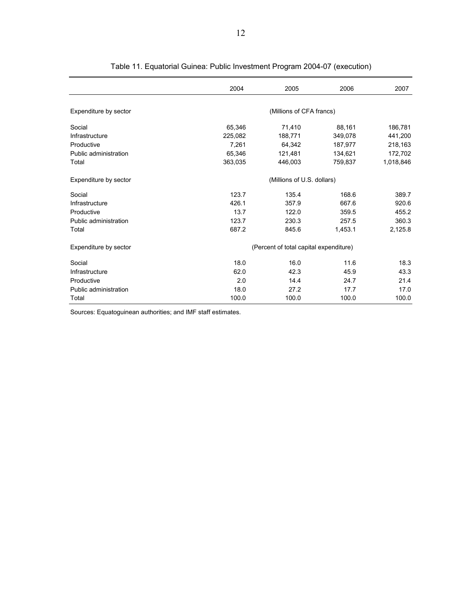|                       | 2004                       | 2005                                   | 2006    | 2007      |  |  |  |
|-----------------------|----------------------------|----------------------------------------|---------|-----------|--|--|--|
| Expenditure by sector |                            | (Millions of CFA francs)               |         |           |  |  |  |
| Social                | 65,346                     | 71,410                                 | 88,161  | 186,781   |  |  |  |
| Infrastructure        | 225,082                    | 188,771                                | 349,078 | 441,200   |  |  |  |
| Productive            | 7.261                      | 64,342                                 | 187,977 | 218,163   |  |  |  |
| Public administration | 65.346                     | 121,481                                | 134,621 | 172,702   |  |  |  |
| Total                 | 363,035                    | 446,003                                | 759,837 | 1,018,846 |  |  |  |
| Expenditure by sector | (Millions of U.S. dollars) |                                        |         |           |  |  |  |
| Social                | 123.7                      | 135.4                                  | 168.6   | 389.7     |  |  |  |
| Infrastructure        | 426.1                      | 357.9                                  | 667.6   | 920.6     |  |  |  |
| Productive            | 13.7                       | 122.0                                  | 359.5   | 455.2     |  |  |  |
| Public administration | 123.7                      | 230.3                                  | 257.5   | 360.3     |  |  |  |
| Total                 | 687.2                      | 845.6                                  | 1,453.1 | 2,125.8   |  |  |  |
| Expenditure by sector |                            | (Percent of total capital expenditure) |         |           |  |  |  |
| Social                | 18.0                       | 16.0                                   | 11.6    | 18.3      |  |  |  |
| Infrastructure        | 62.0                       | 42.3                                   | 45.9    | 43.3      |  |  |  |
| Productive            | 2.0                        | 14.4                                   | 24.7    | 21.4      |  |  |  |
| Public administration | 18.0                       | 27.2                                   | 17.7    | 17.0      |  |  |  |
| Total                 | 100.0                      | 100.0                                  | 100.0   | 100.0     |  |  |  |

Table 11. Equatorial Guinea: Public Investment Program 2004-07 (execution)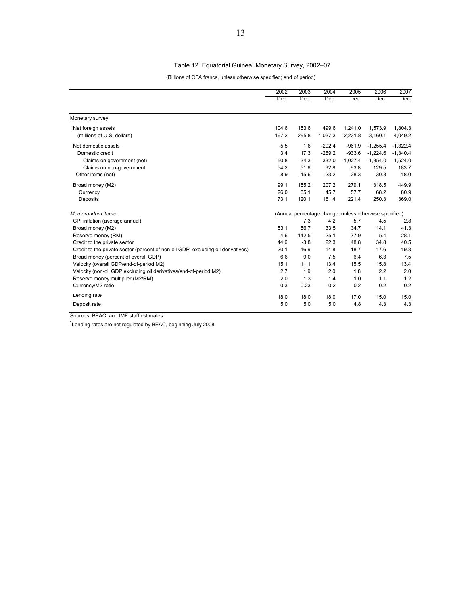#### Table 12. Equatorial Guinea: Monetary Survey, 2002–07

(Billions of CFA francs, unless otherwise specified; end of period)

|                                                                                  | 2002                                                   | 2003    | 2004     | 2005       | 2006       | 2007       |
|----------------------------------------------------------------------------------|--------------------------------------------------------|---------|----------|------------|------------|------------|
|                                                                                  | Dec.                                                   | Dec.    | Dec.     | Dec.       | Dec.       | Dec.       |
| Monetary survey                                                                  |                                                        |         |          |            |            |            |
| Net foreign assets                                                               | 104.6                                                  | 153.6   | 499.6    | 1,241.0    | 1,573.9    | 1,804.3    |
| (millions of U.S. dollars)                                                       | 167.2                                                  | 295.8   | 1,037.3  | 2,231.8    | 3,160.1    | 4,049.2    |
| Net domestic assets                                                              | $-5.5$                                                 | 1.6     | $-292.4$ | $-961.9$   | $-1,255.4$ | $-1,322.4$ |
| Domestic credit                                                                  | 3.4                                                    | 17.3    | $-269.2$ | $-933.6$   | $-1,224.6$ | $-1,340.4$ |
| Claims on government (net)                                                       | $-50.8$                                                | $-34.3$ | $-332.0$ | $-1,027.4$ | $-1,354.0$ | $-1,524.0$ |
| Claims on non-government                                                         | 54.2                                                   | 51.6    | 62.8     | 93.8       | 129.5      | 183.7      |
| Other items (net)                                                                | $-8.9$                                                 | $-15.6$ | $-23.2$  | $-28.3$    | $-30.8$    | 18.0       |
| Broad money (M2)                                                                 | 99.1                                                   | 155.2   | 207.2    | 279.1      | 318.5      | 449.9      |
| Currency                                                                         | 26.0                                                   | 35.1    | 45.7     | 57.7       | 68.2       | 80.9       |
| Deposits                                                                         | 73.1                                                   | 120.1   | 161.4    | 221.4      | 250.3      | 369.0      |
| Memorandum items:                                                                | (Annual percentage change, unless otherwise specified) |         |          |            |            |            |
| CPI inflation (average annual)                                                   |                                                        | 7.3     | 4.2      | 5.7        | 4.5        | 2.8        |
| Broad money (M2)                                                                 | 53.1                                                   | 56.7    | 33.5     | 34.7       | 14.1       | 41.3       |
| Reserve money (RM)                                                               | 4.6                                                    | 142.5   | 25.1     | 77.9       | 5.4        | 28.1       |
| Credit to the private sector                                                     | 44.6                                                   | $-3.8$  | 22.3     | 48.8       | 34.8       | 40.5       |
| Credit to the private sector (percent of non-oil GDP, excluding oil derivatives) | 20.1                                                   | 16.9    | 14.8     | 18.7       | 17.6       | 19.8       |
| Broad money (percent of overall GDP)                                             | 6.6                                                    | 9.0     | 7.5      | 6.4        | 6.3        | 7.5        |
| Velocity (overall GDP/end-of-period M2)                                          | 15.1                                                   | 11.1    | 13.4     | 15.5       | 15.8       | 13.4       |
| Velocity (non-oil GDP excluding oil derivatives/end-of-period M2)                | 2.7                                                    | 1.9     | 2.0      | 1.8        | 2.2        | 2.0        |
| Reserve money multiplier (M2/RM)                                                 | 2.0                                                    | 1.3     | 1.4      | 1.0        | 1.1        | 1.2        |
| Currency/M2 ratio                                                                | 0.3                                                    | 0.23    | 0.2      | 0.2        | 0.2        | 0.2        |
| Lending rate                                                                     | 18.0                                                   | 18.0    | 18.0     | 17.0       | 15.0       | 15.0       |
| Deposit rate                                                                     | 5.0                                                    | 5.0     | 5.0      | 4.8        | 4.3        | 4.3        |

Sources: BEAC; and IMF staff estimates.

 $1$ Lending rates are not regulated by BEAC, beginning July 2008.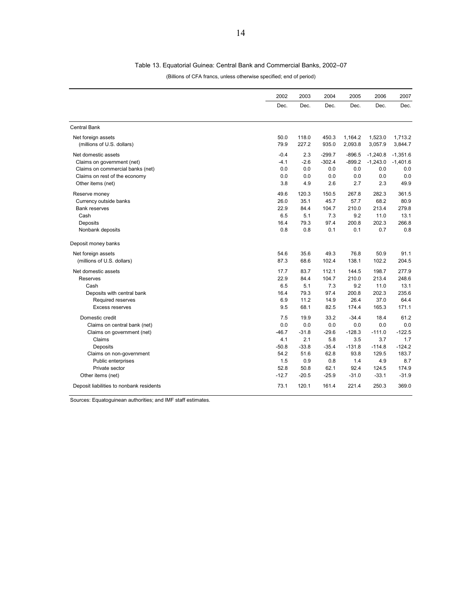#### Table 13. Equatorial Guinea: Central Bank and Commercial Banks, 2002–07

#### (Billions of CFA francs, unless otherwise specified; end of period)

|                                          | 2002    | 2003    | 2004     | 2005     | 2006       | 2007       |
|------------------------------------------|---------|---------|----------|----------|------------|------------|
|                                          | Dec.    | Dec.    | Dec.     | Dec.     | Dec.       | Dec.       |
| <b>Central Bank</b>                      |         |         |          |          |            |            |
| Net foreign assets                       | 50.0    | 118.0   | 450.3    | 1,164.2  | 1,523.0    | 1,713.2    |
| (millions of U.S. dollars)               | 79.9    | 227.2   | 935.0    | 2,093.8  | 3,057.9    | 3,844.7    |
| Net domestic assets                      | $-0.4$  | 2.3     | $-299.7$ | $-896.5$ | $-1,240.8$ | $-1,351.6$ |
| Claims on government (net)               | $-4.1$  | $-2.6$  | $-302.4$ | $-899.2$ | $-1,243.0$ | $-1,401.6$ |
| Claims on commercial banks (net)         | 0.0     | 0.0     | 0.0      | 0.0      | 0.0        | 0.0        |
| Claims on rest of the economy            | 0.0     | 0.0     | 0.0      | 0.0      | 0.0        | 0.0        |
| Other items (net)                        | 3.8     | 4.9     | 2.6      | 2.7      | 2.3        | 49.9       |
| Reserve money                            | 49.6    | 120.3   | 150.5    | 267.8    | 282.3      | 361.5      |
| Currency outside banks                   | 26.0    | 35.1    | 45.7     | 57.7     | 68.2       | 80.9       |
| <b>Bank reserves</b>                     | 22.9    | 84.4    | 104.7    | 210.0    | 213.4      | 279.8      |
| Cash                                     | 6.5     | 5.1     | 7.3      | 9.2      | 11.0       | 13.1       |
| Deposits                                 | 16.4    | 79.3    | 97.4     | 200.8    | 202.3      | 266.8      |
| Nonbank deposits                         | 0.8     | 0.8     | 0.1      | 0.1      | 0.7        | 0.8        |
| Deposit money banks                      |         |         |          |          |            |            |
| Net foreign assets                       | 54.6    | 35.6    | 49.3     | 76.8     | 50.9       | 91.1       |
| (millions of U.S. dollars)               | 87.3    | 68.6    | 102.4    | 138.1    | 102.2      | 204.5      |
| Net domestic assets                      | 17.7    | 83.7    | 112.1    | 144.5    | 198.7      | 277.9      |
| Reserves                                 | 22.9    | 84.4    | 104.7    | 210.0    | 213.4      | 248.6      |
| Cash                                     | 6.5     | 5.1     | 7.3      | 9.2      | 11.0       | 13.1       |
| Deposits with central bank               | 16.4    | 79.3    | 97.4     | 200.8    | 202.3      | 235.6      |
| Required reserves                        | 6.9     | 11.2    | 14.9     | 26.4     | 37.0       | 64.4       |
| Excess reserves                          | 9.5     | 68.1    | 82.5     | 174.4    | 165.3      | 171.1      |
| Domestic credit                          | 7.5     | 19.9    | 33.2     | $-34.4$  | 18.4       | 61.2       |
| Claims on central bank (net)             | 0.0     | 0.0     | 0.0      | 0.0      | 0.0        | 0.0        |
| Claims on government (net)               | $-46.7$ | $-31.8$ | $-29.6$  | $-128.3$ | $-111.0$   | $-122.5$   |
| Claims                                   | 4.1     | 2.1     | 5.8      | 3.5      | 3.7        | 1.7        |
| Deposits                                 | $-50.8$ | $-33.8$ | $-35.4$  | $-131.8$ | $-114.8$   | $-124.2$   |
| Claims on non-government                 | 54.2    | 51.6    | 62.8     | 93.8     | 129.5      | 183.7      |
| <b>Public enterprises</b>                | 1.5     | 0.9     | 0.8      | 1.4      | 4.9        | 8.7        |
| Private sector                           | 52.8    | 50.8    | 62.1     | 92.4     | 124.5      | 174.9      |
| Other items (net)                        | $-12.7$ | $-20.5$ | $-25.9$  | $-31.0$  | $-33.1$    | $-31.9$    |
| Deposit liabilities to nonbank residents | 73.1    | 120.1   | 161.4    | 221.4    | 250.3      | 369.0      |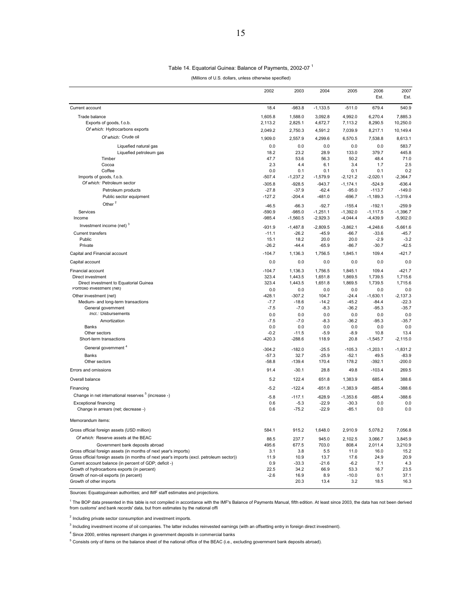#### Table 14. Equatorial Guinea: Balance of Payments, 2002-07 <sup>1</sup>

(Millions of U.S. dollars, unless otherwise specified)

|                                                                                                                                                     | 2002                | 2003                | 2004                  | 2005                   | 2006                   | 2007                   |
|-----------------------------------------------------------------------------------------------------------------------------------------------------|---------------------|---------------------|-----------------------|------------------------|------------------------|------------------------|
|                                                                                                                                                     |                     |                     |                       |                        | Est.                   | Est.                   |
| Current account                                                                                                                                     | 18.4                | $-983.8$            | $-1,133.5$            | $-511.0$               | 679.4                  | 540.9                  |
| Trade balance                                                                                                                                       | 1,605.8             | 1,588.0             | 3,092.8               | 4,992.0                | 6,270.4                | 7,885.3                |
| Exports of goods, f.o.b.                                                                                                                            | 2,113.2             | 2,825.1             | 4,672.7               | 7,113.2                | 8,290.5                | 10,250.0               |
| Of which: Hydrocarbons exports                                                                                                                      | 2,049.2             | 2,750.3             | 4,591.2               | 7,039.9                | 8,217.1                | 10,149.4               |
| Of which: Crude oil                                                                                                                                 | 1,909.0             | 2,557.9             | 4,299.6               | 6,570.5                | 7,538.8                | 8,613.1                |
| Liquefied natural gas                                                                                                                               | 0.0                 | 0.0                 | 0.0                   | 0.0                    | 0.0                    | 583.7                  |
| Liquefied petroleum gas<br>Timber                                                                                                                   | 18.2<br>47.7        | 23.2<br>53.6        | 28.9<br>56.3          | 133.0<br>50.2          | 379.7<br>48.4          | 445.8<br>71.0          |
| Cocoa                                                                                                                                               | 2.3                 | 4.4                 | 6.1                   | 3.4                    | 1.7                    | 2.5                    |
| Coffee                                                                                                                                              | 0.0                 | 0.1                 | 0.1                   | 0.1                    | 0.1                    | 0.2                    |
| Imports of goods, f.o.b.                                                                                                                            | $-507.4$            | $-1,237.2$          | $-1,579.9$            | $-2,121.2$             | $-2,020.1$             | $-2,364.7$             |
| Of which: Petroleum sector<br>Petroleum products                                                                                                    | $-305.8$<br>$-27.8$ | $-928.5$<br>$-37.9$ | $-943.7$<br>$-62.4$   | $-1,174.1$<br>$-95.0$  | $-524.9$<br>$-113.7$   | $-636.4$<br>$-149.0$   |
| Public sector equipment                                                                                                                             | $-127.2$            | $-204.4$            | $-481.0$              | $-696.7$               | $-1,189.3$             | $-1,319.4$             |
| Other <sup>2</sup>                                                                                                                                  |                     |                     |                       |                        |                        |                        |
| Services                                                                                                                                            | $-46.5$<br>$-590.9$ | $-66.3$<br>$-985.0$ | $-92.7$<br>$-1,251.1$ | $-155.4$<br>$-1,392.0$ | $-192.1$<br>$-1,117.5$ | $-259.9$<br>$-1,396.7$ |
| Income                                                                                                                                              | $-985.4$            | $-1,560.5$          | $-2,929.3$            | $-4,044.4$             | $-4,439.9$             | $-5,902.0$             |
| Investment income (net) <sup>3</sup>                                                                                                                | $-931.9$            | $-1,487.8$          | $-2,809.5$            | $-3,862.1$             | $-4,248.6$             | $-5,661.6$             |
| Current transfers                                                                                                                                   | $-11.1$             | $-26.2$             | $-45.9$               | $-66.7$                | $-33.6$                | $-45.7$                |
| Public                                                                                                                                              | 15.1                | 18.2                | 20.0                  | 20.0                   | $-2.9$                 | $-3.2$                 |
| Private                                                                                                                                             | $-26.2$             | $-44.4$             | $-65.9$               | $-86.7$                | $-30.7$                | $-42.5$                |
| Capital and Financial account                                                                                                                       | $-104.7$            | 1,136.3             | 1,756.5               | 1,845.1                | 109.4                  | $-421.7$               |
| Capital account                                                                                                                                     | 0.0                 | 0.0                 | 0.0                   | 0.0                    | 0.0                    | 0.0                    |
| Financial account                                                                                                                                   | $-104.7$            | 1,136.3             | 1,756.5               | 1,845.1                | 109.4                  | $-421.7$               |
| Direct investment                                                                                                                                   | 323.4               | 1,443.5             | 1,651.8               | 1,869.5                | 1,739.5                | 1,715.6                |
| Direct investment to Equatorial Guinea<br>Portfolio investment (net)                                                                                | 323.4<br>0.0        | 1,443.5<br>0.0      | 1,651.8<br>0.0        | 1,869.5<br>0.0         | 1,739.5<br>0.0         | 1,715.6<br>0.0         |
| Other investment (net)                                                                                                                              | $-428.1$            | $-307.2$            | 104.7                 | $-24.4$                | $-1,630.1$             | $-2,137.3$             |
| Medium- and long-term transactions                                                                                                                  | $-7.7$              | $-18.6$             | $-14.2$               | $-45.2$                | $-84.4$                | $-22.3$                |
| General government                                                                                                                                  | $-7.5$              | $-7.0$              | $-8.3$                | $-36.2$                | $-95.3$                | $-35.7$                |
| Incl.: Disbursements                                                                                                                                | 0.0                 | 0.0                 | 0.0                   | 0.0                    | 0.0                    | 0.0                    |
| Amortization<br>Banks                                                                                                                               | $-7.5$<br>0.0       | $-7.0$<br>0.0       | $-8.3$<br>0.0         | $-36.2$<br>0.0         | $-95.3$<br>0.0         | $-35.7$<br>0.0         |
| Other sectors                                                                                                                                       | $-0.2$              | $-11.5$             | $-5.9$                | $-8.9$                 | 10.8                   | 13.4                   |
| Short-term transactions                                                                                                                             | $-420.3$            | $-288.6$            | 118.9                 | 20.8                   | $-1,545.7$             | $-2,115.0$             |
| General government <sup>4</sup>                                                                                                                     | $-304.2$            | $-182.0$            | $-25.5$               | $-105.3$               | $-1,203.1$             | $-1,831.2$             |
| Banks                                                                                                                                               | $-57.3$             | 32.7                | $-25.9$               | $-52.1$                | 49.5                   | $-83.9$                |
| Other sectors                                                                                                                                       | $-58.8$             | $-139.4$            | 170.4                 | 178.2                  | $-392.1$               | $-200.0$               |
| Errors and omissions                                                                                                                                | 91.4                | $-30.1$             | 28.8                  | 49.8                   | $-103.4$               | 269.5                  |
| Overall balance                                                                                                                                     | 5.2                 | 122.4               | 651.8                 | 1,383.9                | 685.4                  | 388.6                  |
| Financing                                                                                                                                           | $-5.2$              | $-122.4$            | $-651.8$              | $-1,383.9$             | $-685.4$               | $-388.6$               |
| Change in net international reserves <sup>5</sup> (increase -)                                                                                      | $-5.8$              | $-117.1$            | $-628.9$              | $-1,353.6$             | $-685.4$               | $-388.6$               |
| <b>Exceptional financing</b>                                                                                                                        | 0.6                 | $-5.3$              | $-22.9$               | $-30.3$                | 0.0                    | 0.0                    |
| Change in arrears (net; decrease -)                                                                                                                 | 0.6                 | $-75.2$             | $-22.9$               | $-85.1$                | 0.0                    | 0.0                    |
| Memorandum items:                                                                                                                                   |                     |                     |                       |                        |                        |                        |
| Gross official foreign assets (USD million)                                                                                                         | 584.1               | 915.2               | 1,648.0               | 2,910.9                | 5,078.2                | 7,056.8                |
| Of which: Reserve assets at the BEAC                                                                                                                | 88.5                | 237.7               | 945.0                 | 2,102.5                | 3,066.7                | 3,845.9                |
| Government bank deposits abroad                                                                                                                     | 495.6               | 677.5               | 703.0                 | 808.4                  | 2.011.4                | 3,210.9                |
| Gross official foreign assets (in months of next year's imports)                                                                                    | 3.1                 | 3.8                 | 5.5                   | 11.0                   | 16.0                   | 15.2                   |
| Gross official foreign assets (in months of next year's imports (excl. petroleum sector))<br>Current account balance (in percent of GDP; deficit -) | 11.9<br>0.9         | 10.9<br>$-33.3$     | 13.7<br>$-21.6$       | 17.6<br>$-6.2$         | 24.9<br>7.1            | 20.9<br>4.3            |
| Growth of hydrocarbons exports (in percent)                                                                                                         | 22.5                | 34.2                | 66.9                  | 53.3                   | 16.7                   | 23.5                   |
| Growth of non-oil exports (in percent)                                                                                                              | $-2.6$              | 16.9                | 8.9                   | $-10.0$                | 0.1                    | 37.1                   |
| Growth of other imports                                                                                                                             |                     | 20.3                | 13.4                  | 3.2                    | 18.5                   | 16.3                   |

Sources: Equatoguinean authorities; and IMF staff estimates and projections.

<sup>1</sup> The BOP data presented in this table is not compiled in accordance with the IMF's Balance of Payments Manual, fifth edition. At least since 2003, the data has not been derived from customs' and bank records' data, but from estimates by the national offi

<sup>2</sup> Including private sector consumption and investment imports.

<sup>3</sup> Including investment income of oil companies. The latter includes reinvested earnings (with an offsetting entry in foreign direct investment).

<sup>4</sup> Since 2000, entries represent changes in government deposits in commercial banks

<sup>5</sup> Consists only of items on the balance sheet of the national office of the BEAC (i.e., excluding government bank deposits abroad).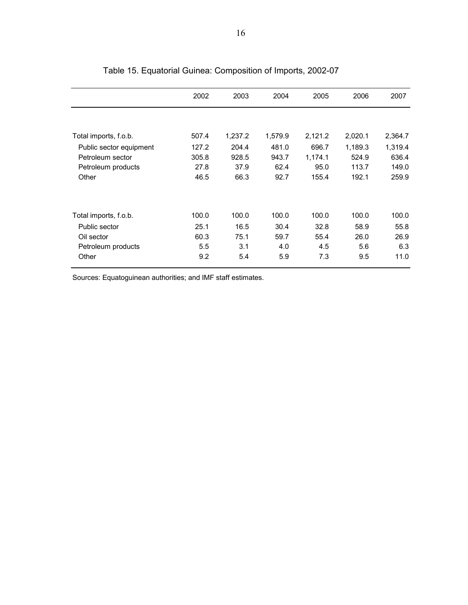|                         | 2002  | 2003    | 2004    | 2005    | 2006    | 2007    |
|-------------------------|-------|---------|---------|---------|---------|---------|
|                         |       |         |         |         |         |         |
| Total imports, f.o.b.   | 507.4 | 1,237.2 | 1,579.9 | 2,121.2 | 2,020.1 | 2,364.7 |
| Public sector equipment | 127.2 | 204.4   | 481.0   | 696.7   | 1,189.3 | 1,319.4 |
| Petroleum sector        | 305.8 | 928.5   | 943.7   | 1,174.1 | 524.9   | 636.4   |
| Petroleum products      | 27.8  | 37.9    | 62.4    | 95.0    | 113.7   | 149.0   |
| Other                   | 46.5  | 66.3    | 92.7    | 155.4   | 192.1   | 259.9   |
|                         |       |         |         |         |         |         |
| Total imports, f.o.b.   | 100.0 | 100.0   | 100.0   | 100.0   | 100.0   | 100.0   |
| Public sector           | 25.1  | 16.5    | 30.4    | 32.8    | 58.9    | 55.8    |
| Oil sector              | 60.3  | 75.1    | 59.7    | 55.4    | 26.0    | 26.9    |
| Petroleum products      | 5.5   | 3.1     | 4.0     | 4.5     | 5.6     | 6.3     |
| Other                   | 9.2   | 5.4     | 5.9     | 7.3     | 9.5     | 11.0    |

Table 15. Equatorial Guinea: Composition of Imports, 2002-07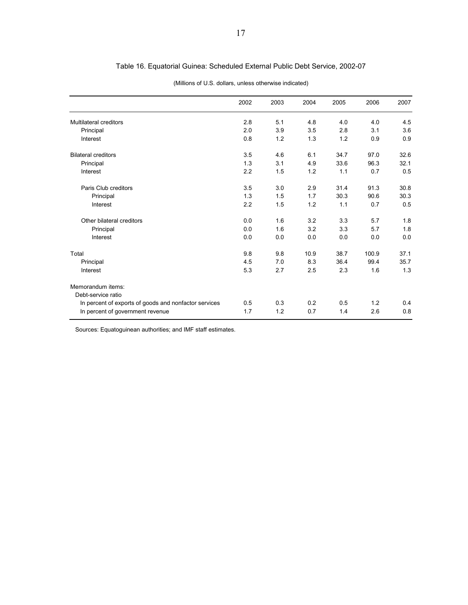## Table 16. Equatorial Guinea: Scheduled External Public Debt Service, 2002-07

|                                                       | 2002 | 2003 | 2004 | 2005 | 2006  | 2007 |
|-------------------------------------------------------|------|------|------|------|-------|------|
| <b>Multilateral creditors</b>                         | 2.8  | 5.1  | 4.8  | 4.0  | 4.0   | 4.5  |
| Principal                                             | 2.0  | 3.9  | 3.5  | 2.8  | 3.1   | 3.6  |
| Interest                                              | 0.8  | 1.2  | 1.3  | 1.2  | 0.9   | 0.9  |
| <b>Bilateral creditors</b>                            | 3.5  | 4.6  | 6.1  | 34.7 | 97.0  | 32.6 |
| Principal                                             | 1.3  | 3.1  | 4.9  | 33.6 | 96.3  | 32.1 |
| Interest                                              | 2.2  | 1.5  | 1.2  | 1.1  | 0.7   | 0.5  |
| Paris Club creditors                                  | 3.5  | 3.0  | 2.9  | 31.4 | 91.3  | 30.8 |
| Principal                                             | 1.3  | 1.5  | 1.7  | 30.3 | 90.6  | 30.3 |
| Interest                                              | 2.2  | 1.5  | 1.2  | 1.1  | 0.7   | 0.5  |
| Other bilateral creditors                             | 0.0  | 1.6  | 3.2  | 3.3  | 5.7   | 1.8  |
| Principal                                             | 0.0  | 1.6  | 3.2  | 3.3  | 5.7   | 1.8  |
| Interest                                              | 0.0  | 0.0  | 0.0  | 0.0  | 0.0   | 0.0  |
| Total                                                 | 9.8  | 9.8  | 10.9 | 38.7 | 100.9 | 37.1 |
| Principal                                             | 4.5  | 7.0  | 8.3  | 36.4 | 99.4  | 35.7 |
| Interest                                              | 5.3  | 2.7  | 2.5  | 2.3  | 1.6   | 1.3  |
| Memorandum items:                                     |      |      |      |      |       |      |
| Debt-service ratio                                    |      |      |      |      |       |      |
| In percent of exports of goods and nonfactor services | 0.5  | 0.3  | 0.2  | 0.5  | 1.2   | 0.4  |
| In percent of government revenue                      | 1.7  | 1.2  | 0.7  | 1.4  | 2.6   | 0.8  |

#### (Millions of U.S. dollars, unless otherwise indicated)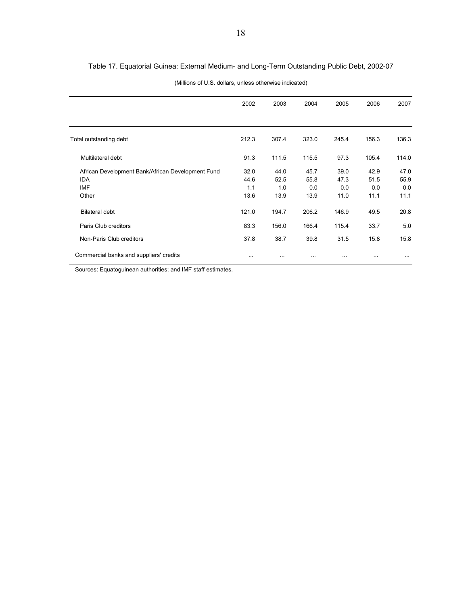## Table 17. Equatorial Guinea: External Medium- and Long-Term Outstanding Public Debt, 2002-07

| (Millions of U.S. dollars, unless otherwise indicated) |  |
|--------------------------------------------------------|--|
|--------------------------------------------------------|--|

|                                                   | 2002     | 2003     | 2004     | 2005     | 2006      | 2007     |
|---------------------------------------------------|----------|----------|----------|----------|-----------|----------|
|                                                   |          |          |          |          |           |          |
| Total outstanding debt                            | 212.3    | 307.4    | 323.0    | 245.4    | 156.3     | 136.3    |
| Multilateral debt                                 | 91.3     | 111.5    | 115.5    | 97.3     | 105.4     | 114.0    |
| African Development Bank/African Development Fund | 32.0     | 44.0     | 45.7     | 39.0     | 42.9      | 47.0     |
| <b>IDA</b>                                        | 44.6     | 52.5     | 55.8     | 47.3     | 51.5      | 55.9     |
| IMF                                               | 1.1      | 1.0      | 0.0      | 0.0      | 0.0       | 0.0      |
| Other                                             | 13.6     | 13.9     | 13.9     | 11.0     | 11.1      | 11.1     |
| <b>Bilateral debt</b>                             | 121.0    | 194.7    | 206.2    | 146.9    | 49.5      | 20.8     |
| Paris Club creditors                              | 83.3     | 156.0    | 166.4    | 115.4    | 33.7      | 5.0      |
| Non-Paris Club creditors                          | 37.8     | 38.7     | 39.8     | 31.5     | 15.8      | 15.8     |
| Commercial banks and suppliers' credits           | $\cdots$ | $\cdots$ | $\cdots$ | $\cdots$ | $\ddotsc$ | $\cdots$ |